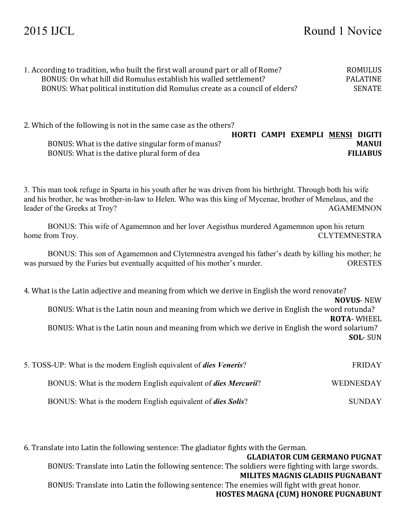| 1. According to tradition, who built the first wall around part or all of Rome? | ROMULUS  |
|---------------------------------------------------------------------------------|----------|
| BONUS: On what hill did Romulus establish his walled settlement?                | PALATINE |
| BONUS: What political institution did Romulus create as a council of elders?    | SENATE   |

2. Which of the following is not in the same case as the others?

BONUS: What is the dative plural form of dea

BONUS: What is the dative singular form of manus?

|  | HORTI CAMPI EXEMPLI MENSI DIGITI |                 |
|--|----------------------------------|-----------------|
|  |                                  | <b>MANUI</b>    |
|  |                                  | <b>FILIABUS</b> |

3. This man took refuge in Sparta in his youth after he was driven from his birthright. Through both his wife and his brother, he was brother-in-law to Helen. Who was this king of Mycenae, brother of Menelaus, and the

BONUS: This wife of Agamemnon and her lover Aegisthus murdered Agamemnon upon his return home from Troy. CLYTEMNESTRA

leader of the Greeks at Troy? AGAMEMNON

BONUS: This son of Agamemnon and Clytemnestra avenged his father's death by killing his mother; he was pursued by the Furies but eventually acquitted of his mother's murder. ORESTES

4. What is the Latin adjective and meaning from which we derive in English the word renovate?

**NOVUS**- NEW

BONUS: What is the Latin noun and meaning from which we derive in English the word rotunda? **ROTA**- WHEEL

BONUS: What is the Latin noun and meaning from which we derive in English the word solarium? **SOL**- SUN

| 5. TOSS-UP: What is the modern English equivalent of <i>dies Veneris</i> ? | <b>FRIDAY</b>    |
|----------------------------------------------------------------------------|------------------|
| BONUS: What is the modern English equivalent of <i>dies Mercurii</i> ?     | <b>WEDNESDAY</b> |
| BONUS: What is the modern English equivalent of <i>dies Solis</i> ?        | <b>SUNDAY</b>    |

6. Translate into Latin the following sentence: The gladiator fights with the German. **GLADIATOR CUM GERMANO PUGNAT** BONUS: Translate into Latin the following sentence: The soldiers were fighting with large swords. **MILITES MAGNIS GLADIIS PUGNABANT** BONUS: Translate into Latin the following sentence: The enemies will fight with great honor. **HOSTES MAGNA (CUM) HONORE PUGNABUNT**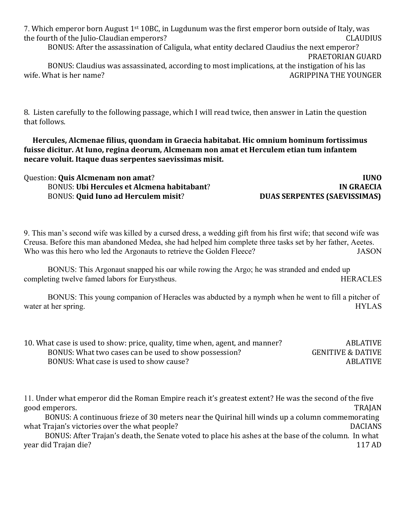7. Which emperor born August 1<sup>st</sup> 10BC, in Lugdunum was the first emperor born outside of Italy, was the fourth of the Julio-Claudian emperors? CLAUDIUS

BONUS: After the assassination of Caligula, what entity declared Claudius the next emperor?

PRAETORIAN GUARD

BONUS: Claudius was assassinated, according to most implications, at the instigation of his las wife. What is her name?  $\overline{A}$  and  $\overline{A}$  and  $\overline{A}$  and  $\overline{A}$  and  $\overline{A}$  and  $\overline{A}$  are  $\overline{A}$  and  $\overline{A}$  and  $\overline{A}$  are  $\overline{A}$  and  $\overline{A}$  are  $\overline{A}$  and  $\overline{A}$  are  $\overline{A}$  and  $\overline{A}$  are  $\over$ 

8. Listen carefully to the following passage, which I will read twice, then answer in Latin the question that follows.

Hercules, Alcmenae filius, quondam in Graecia habitabat. Hic omnium hominum fortissimus fuisse dicitur. At Iuno, regina deorum, Alcmenam non amat et Herculem etian tum infantem necare voluit. Itaque duas serpentes saevissimas misit.

| Question: <b>Quis Alcmenam non amat?</b>          | <b>IUNO</b>                         |
|---------------------------------------------------|-------------------------------------|
| <b>BONUS: Ubi Hercules et Alcmena habitabant?</b> | IN GRAECIA                          |
| <b>BONUS: Quid Iuno ad Herculem misit?</b>        | <b>DUAS SERPENTES (SAEVISSIMAS)</b> |

9. This man's second wife was killed by a cursed dress, a wedding gift from his first wife; that second wife was Creusa. Before this man abandoned Medea, she had helped him complete three tasks set by her father, Aeetes. Who was this hero who led the Argonauts to retrieve the Golden Fleece? JASON

BONUS: This Argonaut snapped his oar while rowing the Argo; he was stranded and ended up completing twelve famed labors for Eurystheus. HERACLES

BONUS: This young companion of Heracles was abducted by a nymph when he went to fill a pitcher of water at her spring. HYLAS

| 10. What case is used to show: price, quality, time when, agent, and manner? | <b>ABLATIVE</b>              |
|------------------------------------------------------------------------------|------------------------------|
| BONUS: What two cases can be used to show possession?                        | <b>GENITIVE &amp; DATIVE</b> |
| BONUS: What case is used to show cause?                                      | <b>ABLATIVE</b>              |

11. Under what emperor did the Roman Empire reach it's greatest extent? He was the second of the five good emperors. TRAJAN

BONUS: A continuous frieze of 30 meters near the Quirinal hill winds up a column commemorating what Trajan's victories over the what people? DACIANS

BONUS: After Trajan's death, the Senate voted to place his ashes at the base of the column. In what year did Trajan die? 117 AD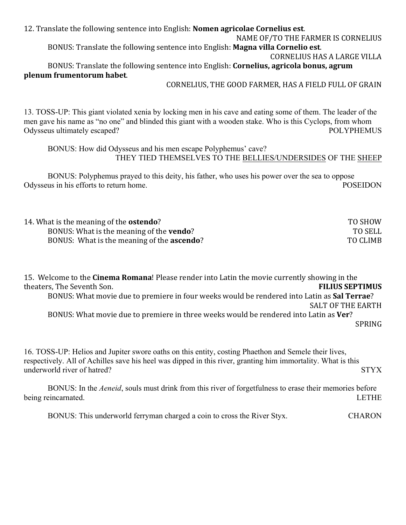12. Translate the following sentence into English: **Nomen agricolae Cornelius est**. NAME OF/TO THE FARMER IS CORNELIUS BONUS: Translate the following sentence into English: **Magna villa Cornelio est**. **CORNELIUS HAS A LARGE VILLA** BONUS: Translate the following sentence into English: **Cornelius, agricola bonus, agrum plenum frumentorum habet**.

#### CORNELIUS, THE GOOD FARMER, HAS A FIELD FULL OF GRAIN

13. TOSS-UP: This giant violated xenia by locking men in his cave and eating some of them. The leader of the men gave his name as "no one" and blinded this giant with a wooden stake. Who is this Cyclops, from whom Odysseus ultimately escaped? POLYPHEMUS

BONUS: How did Odysseus and his men escape Polyphemus' cave? THEY TIED THEMSELVES TO THE BELLIES/UNDERSIDES OF THE SHEEP

BONUS: Polyphemus prayed to this deity, his father, who uses his power over the sea to oppose Odysseus in his efforts to return home. POSEIDON

| 14. What is the meaning of the <b>ostendo</b> ?    | TO SHOW        |
|----------------------------------------------------|----------------|
| BONUS: What is the meaning of the <b>vendo</b> ?   | <b>TO SELL</b> |
| BONUS: What is the meaning of the <b>ascendo</b> ? | TO CLIMB       |

**15.** Welcome to the **Cinema Romana**! Please render into Latin the movie currently showing in the theaters, The Seventh Son. **FILIUS SEPTIMUS** BONUS: What movie due to premiere in four weeks would be rendered into Latin as **Sal Terrae**? SALT OF THE EARTH BONUS: What movie due to premiere in three weeks would be rendered into Latin as Ver? SPRING

16. TOSS-UP: Helios and Jupiter swore oaths on this entity, costing Phaethon and Semele their lives, respectively. All of Achilles save his heel was dipped in this river, granting him immortality. What is this underworld river of hatred? STYX

BONUS: In the *Aeneid*, souls must drink from this river of forgetfulness to erase their memories before being reincarnated. LETHE

BONUS: This underworld ferryman charged a coin to cross the River Styx. CHARON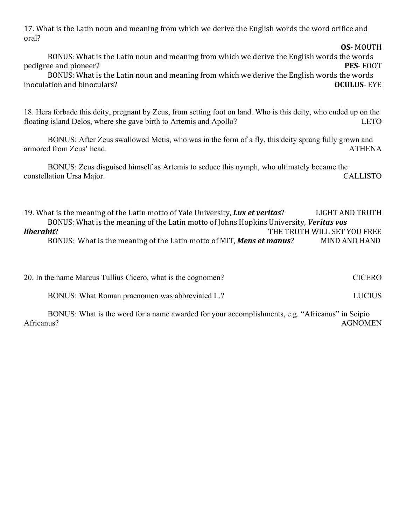17. What is the Latin noun and meaning from which we derive the English words the word orifice and oral?

BONUS: What is the Latin noun and meaning from which we derive the English words the words pedigree and pioneer? **PES**- FOOT

**OS**- MOUTH

BONUS: What is the Latin noun and meaning from which we derive the English words the words inoculation and binoculars? **OCULUS**- EYE

18. Hera forbade this deity, pregnant by Zeus, from setting foot on land. Who is this deity, who ended up on the floating island Delos, where she gave birth to Artemis and Apollo? LETO

BONUS: After Zeus swallowed Metis, who was in the form of a fly, this deity sprang fully grown and armored from Zeus' head. ATHENA

BONUS: Zeus disguised himself as Artemis to seduce this nymph, who ultimately became the constellation Ursa Major. CALLISTO

19. What is the meaning of the Latin motto of Yale University, **Lux et veritas**? LIGHT AND TRUTH BONUS: What is the meaning of the Latin motto of Johns Hopkins University, *Veritas vos liberabit*? THE TRUTH WILL SET YOU FREE BONUS: What is the meaning of the Latin motto of MIT, **Mens et manus**? MIND AND HAND

| 20. In the name Marcus Tullius Cicero, what is the cognomen? | <b>CICERO</b> |
|--------------------------------------------------------------|---------------|
| BONUS: What Roman praenomen was abbreviated L.?              | <b>LUCIUS</b> |

BONUS: What is the word for a name awarded for your accomplishments, e.g. "Africanus" in Scipio Africanus? AGNOMEN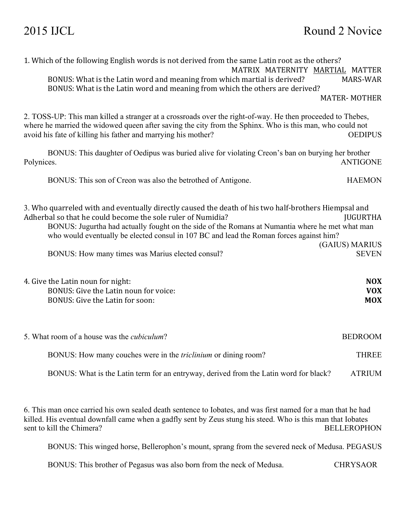| 1. Which of the following English words is not derived from the same Latin root as the others?<br>MATRIX MATERNITY MARTIAL MATTER                                                                                                                                                                                                                                 |                                   |
|-------------------------------------------------------------------------------------------------------------------------------------------------------------------------------------------------------------------------------------------------------------------------------------------------------------------------------------------------------------------|-----------------------------------|
| BONUS: What is the Latin word and meaning from which martial is derived?<br>BONUS: What is the Latin word and meaning from which the others are derived?                                                                                                                                                                                                          | <b>MARS-WAR</b>                   |
|                                                                                                                                                                                                                                                                                                                                                                   | <b>MATER-MOTHER</b>               |
| 2. TOSS-UP: This man killed a stranger at a crossroads over the right-of-way. He then proceeded to Thebes,<br>where he married the widowed queen after saving the city from the Sphinx. Who is this man, who could not<br>avoid his fate of killing his father and marrying his mother?                                                                           | <b>OEDIPUS</b>                    |
| BONUS: This daughter of Oedipus was buried alive for violating Creon's ban on burying her brother<br>Polynices.                                                                                                                                                                                                                                                   | <b>ANTIGONE</b>                   |
| BONUS: This son of Creon was also the betrothed of Antigone.                                                                                                                                                                                                                                                                                                      | <b>HAEMON</b>                     |
| 3. Who quarreled with and eventually directly caused the death of his two half-brothers Hiempsal and<br>Adherbal so that he could become the sole ruler of Numidia?<br>BONUS: Jugurtha had actually fought on the side of the Romans at Numantia where he met what man<br>who would eventually be elected consul in 107 BC and lead the Roman forces against him? | <b>JUGURTHA</b><br>(GAIUS) MARIUS |
| BONUS: How many times was Marius elected consul?                                                                                                                                                                                                                                                                                                                  | <b>SEVEN</b>                      |
| 4. Give the Latin noun for night:<br>BONUS: Give the Latin noun for voice:                                                                                                                                                                                                                                                                                        | <b>NOX</b><br><b>VOX</b>          |
| BONUS: Give the Latin for soon:                                                                                                                                                                                                                                                                                                                                   | <b>MOX</b>                        |
| 5. What room of a house was the <i>cubiculum</i> ?                                                                                                                                                                                                                                                                                                                | <b>BEDROOM</b>                    |
| BONUS: How many couches were in the <i>triclinium</i> or dining room?                                                                                                                                                                                                                                                                                             | <b>THREE</b>                      |
| BONUS: What is the Latin term for an entryway, derived from the Latin word for black?                                                                                                                                                                                                                                                                             | <b>ATRIUM</b>                     |
| 6. This man once carried his own sealed death sentence to Iobates, and was first named for a man that he had<br>killed. His eventual downfall came when a gadfly sent by Zeus stung his steed. Who is this man that Iobates<br>sent to kill the Chimera?                                                                                                          | <b>BELLEROPHON</b>                |

BONUS: This winged horse, Bellerophon's mount, sprang from the severed neck of Medusa. PEGASUS

BONUS: This brother of Pegasus was also born from the neck of Medusa. CHRYSAOR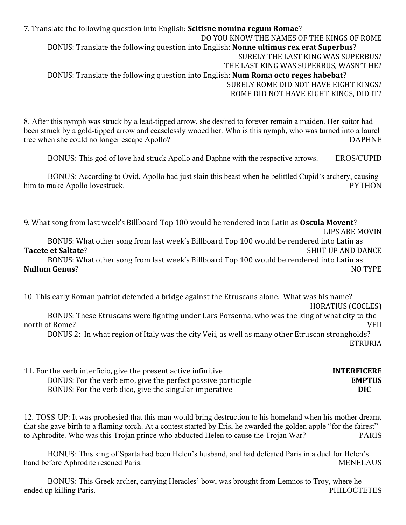7. Translate the following question into English: **Scitisne nomina regum Romae**? DO YOU KNOW THE NAMES OF THE KINGS OF ROME BONUS: Translate the following question into English: **Nonne ultimus rex erat Superbus**? SURELY THE LAST KING WAS SUPERBUS? THE LAST KING WAS SUPERBUS, WASN'T HE? BONUS: Translate the following question into English: **Num Roma octo reges habebat**? SURELY ROME DID NOT HAVE EIGHT KINGS? ROME DID NOT HAVE EIGHT KINGS, DID IT?

8. After this nymph was struck by a lead-tipped arrow, she desired to forever remain a maiden. Her suitor had been struck by a gold-tipped arrow and ceaselessly wooed her. Who is this nymph, who was turned into a laurel tree when she could no longer escape Apollo? DAPHNE

BONUS: This god of love had struck Apollo and Daphne with the respective arrows. EROS/CUPID

BONUS: According to Ovid, Apollo had just slain this beast when he belittled Cupid's archery, causing him to make Apollo lovestruck. PYTHON

9. What song from last week's Billboard Top 100 would be rendered into Latin as Oscula Movent?

LIPS ARE MOVIN

BONUS: What other song from last week's Billboard Top 100 would be rendered into Latin as **Tacete et Saltate**? SHUT UP AND DANCE

BONUS: What other song from last week's Billboard Top 100 would be rendered into Latin as **Nullum Genus**? No TYPE

10. This early Roman patriot defended a bridge against the Etruscans alone. What was his name?

HORATIUS (COCLES)

BONUS: These Etruscans were fighting under Lars Porsenna, who was the king of what city to the north of Rome? WEII

BONUS 2: In what region of Italy was the city Veii, as well as many other Etruscan strongholds? ETRURIA

| 11. For the verb interficio, give the present active infinitive | <b>INTERFICERE</b> |
|-----------------------------------------------------------------|--------------------|
| BONUS: For the verb emo, give the perfect passive participle    | <b>EMPTUS</b>      |
| BONUS: For the verb dico, give the singular imperative          | DIC.               |

12. TOSS-UP: It was prophesied that this man would bring destruction to his homeland when his mother dreamt that she gave birth to a flaming torch. At a contest started by Eris, he awarded the golden apple "for the fairest" to Aphrodite. Who was this Trojan prince who abducted Helen to cause the Trojan War? PARIS

BONUS: This king of Sparta had been Helen's husband, and had defeated Paris in a duel for Helen's hand before Aphrodite rescued Paris. MENELAUS

BONUS: This Greek archer, carrying Heracles' bow, was brought from Lemnos to Troy, where he ended up killing Paris. PHILOCTETES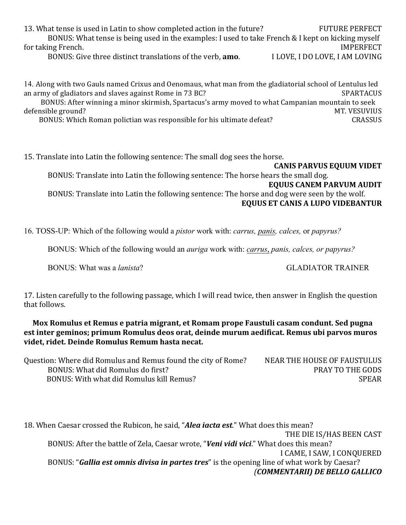13. What tense is used in Latin to show completed action in the future? FUTURE PERFECT BONUS: What tense is being used in the examples: I used to take French & I kept on kicking myself for taking French. The state of the state of the state of the state of the state of the state of the state of the state of the state of the state of the state of the state of the state of the state of the state of the stat BONUS: Give three distinct translations of the verb, **amo.** I LOVE, I DO LOVE, I AM LOVING

14. Along with two Gauls named Crixus and Oenomaus, what man from the gladiatorial school of Lentulus led an army of gladiators and slaves against Rome in 73 BC? SPARTACUS BONUS: After winning a minor skirmish, Spartacus's army moved to what Campanian mountain to seek defensible ground? The state of the state of the state of the state of the state of the state of the state of the state of the state of the state of the state of the state of the state of the state of the state of the stat BONUS: Which Roman polictian was responsible for his ultimate defeat? CRASSUS

15. Translate into Latin the following sentence: The small dog sees the horse. **CANIS PARVUS EQUUM VIDET** BONUS: Translate into Latin the following sentence: The horse hears the small dog. **EQUUS CANEM PARVUM AUDIT** BONUS: Translate into Latin the following sentence: The horse and dog were seen by the wolf. **EQUUS ET CANIS A LUPO VIDEBANTUR** 

16. TOSS-UP: Which of the following would a *pistor* work with: *carrus, panis, calces,* or *papyrus?*

BONUS: Which of the following would an *auriga* work with: *carrus*, *panis, calces, or papyrus?*

BONUS: What was a *lanista*? GLADIATOR TRAINER

17. Listen carefully to the following passage, which I will read twice, then answer in English the question that follows.

**Mox Romulus et Remus e patria migrant, et Romam prope Faustuli casam condunt. Sed pugna** est inter geminos; primum Romulus deos orat, deinde murum aedificat. Remus ubi parvos muros videt, ridet. Deinde Romulus Remum hasta necat.

| Question: Where did Romulus and Remus found the city of Rome? | NEAR THE HOUSE OF FAUSTULUS |
|---------------------------------------------------------------|-----------------------------|
| BONUS: What did Romulus do first?                             | <b>PRAY TO THE GODS</b>     |
| BONUS: With what did Romulus kill Remus?                      | <b>SPEAR</b>                |

18. When Caesar crossed the Rubicon, he said, "**Alea iacta est**." What does this mean? THE DIE IS/HAS BEEN CAST BONUS: After the battle of Zela, Caesar wrote, "*Veni vidi vici*." What does this mean? I CAME, I SAW, I CONOUERED BONUS: "**Gallia est omnis divisa in partes tres**" is the opening line of what work by Caesar? *(COMMENTARII) DE BELLO GALLICO*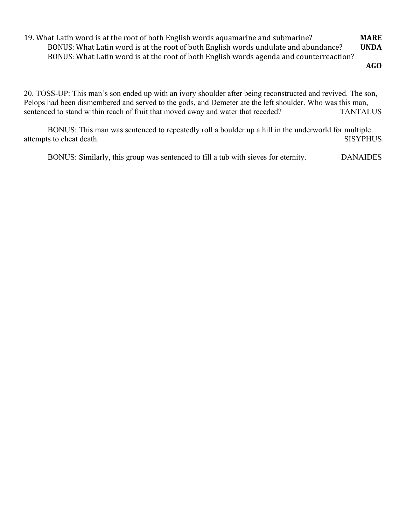19. What Latin word is at the root of both English words aquamarine and submarine? **MARE** BONUS: What Latin word is at the root of both English words undulate and abundance? **UNDA** BONUS: What Latin word is at the root of both English words agenda and counterreaction?

**AGO**

20. TOSS-UP: This man's son ended up with an ivory shoulder after being reconstructed and revived. The son, Pelops had been dismembered and served to the gods, and Demeter ate the left shoulder. Who was this man, sentenced to stand within reach of fruit that moved away and water that receded? TANTALUS

BONUS: This man was sentenced to repeatedly roll a boulder up a hill in the underworld for multiple attempts to cheat death. SISYPHUS

BONUS: Similarly, this group was sentenced to fill a tub with sieves for eternity. DANAIDES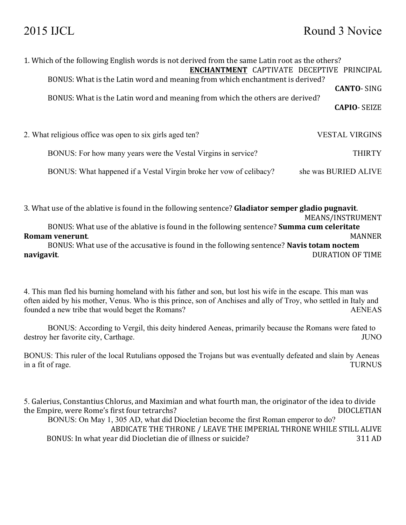| 1. Which of the following English words is not derived from the same Latin root as the others?<br><b>ENCHANTMENT CAPTIVATE DECEPTIVE PRINCIPAL</b> |                       |
|----------------------------------------------------------------------------------------------------------------------------------------------------|-----------------------|
| BONUS: What is the Latin word and meaning from which enchantment is derived?                                                                       | <b>CANTO-SING</b>     |
| BONUS: What is the Latin word and meaning from which the others are derived?                                                                       | <b>CAPIO- SEIZE</b>   |
| 2. What religious office was open to six girls aged ten?                                                                                           | <b>VESTAL VIRGINS</b> |
| BONUS: For how many years were the Vestal Virgins in service?                                                                                      | <b>THIRTY</b>         |
| BONUS: What happened if a Vestal Virgin broke her vow of celibacy?                                                                                 | she was BURIED ALIVE  |

3. What use of the ablative is found in the following sentence? **Gladiator semper gladio pugnavit**.

MEANS/INSTRUMENT BONUS: What use of the ablative is found in the following sentence? **Summa cum celeritate Romam venerunt**. MANNER BONUS: What use of the accusative is found in the following sentence? **Navis totam noctem navigavit**. DURATION OF TIME

4. This man fled his burning homeland with his father and son, but lost his wife in the escape. This man was often aided by his mother, Venus. Who is this prince, son of Anchises and ally of Troy, who settled in Italy and founded a new tribe that would beget the Romans? AENEAS

BONUS: According to Vergil, this deity hindered Aeneas, primarily because the Romans were fated to destroy her favorite city, Carthage. JUNO

BONUS: This ruler of the local Rutulians opposed the Trojans but was eventually defeated and slain by Aeneas in a fit of rage. TURNUS

5. Galerius, Constantius Chlorus, and Maximian and what fourth man, the originator of the idea to divide the Empire, were Rome's first four tetrarchs? DIOCLETIAN BONUS: On May 1, 305 AD, what did Diocletian become the first Roman emperor to do? ABDICATE THE THRONE / LEAVE THE IMPERIAL THRONE WHILE STILL ALIVE BONUS: In what year did Diocletian die of illness or suicide? 311 AD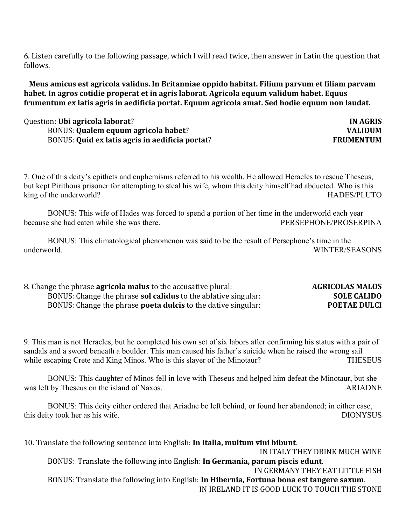6. Listen carefully to the following passage, which I will read twice, then answer in Latin the question that follows.

**Meus amicus est agricola validus. In Britanniae oppido habitat. Filium parvum et filiam parvam** habet. In agros cotidie properat et in agris laborat. Agricola equum validum habet. Equus frumentum ex latis agris in aedificia portat. Equum agricola amat. Sed hodie equum non laudat.

### **Question:** Ubi agricola laborat? **IN AGRIS** BONUS: Qualem equum agricola habet? **VALIDUM** BONUS: Quid ex latis agris in aedificia portat? **FRUMENTUM**

7. One of this deity's epithets and euphemisms referred to his wealth. He allowed Heracles to rescue Theseus, but kept Pirithous prisoner for attempting to steal his wife, whom this deity himself had abducted. Who is this king of the underworld? The underworld is a set of the underworld? The underworld is a set of the underworld is  $HADES/PLUTO$ 

BONUS: This wife of Hades was forced to spend a portion of her time in the underworld each year because she had eaten while she was there. The extended to the extended performance performance of  $P$ ERSEPHONE/PROSERPINA

BONUS: This climatological phenomenon was said to be the result of Persephone's time in the underworld. WINTER/SEASONS

| 8. Change the phrase <b>agricola malus</b> to the accusative plural:  | <b>AGRICOLAS MALOS</b> |
|-----------------------------------------------------------------------|------------------------|
| BONUS: Change the phrase <b>sol calidus</b> to the ablative singular: | <b>SOLE CALIDO</b>     |
| BONUS: Change the phrase <b>poeta dulcis</b> to the dative singular:  | <b>POETAE DULCI</b>    |

9. This man is not Heracles, but he completed his own set of six labors after confirming his status with a pair of sandals and a sword beneath a boulder. This man caused his father's suicide when he raised the wrong sail while escaping Crete and King Minos. Who is this slayer of the Minotaur? THESEUS

BONUS: This daughter of Minos fell in love with Theseus and helped him defeat the Minotaur, but she was left by Theseus on the island of Naxos. ARIADNE

BONUS: This deity either ordered that Ariadne be left behind, or found her abandoned; in either case, this deity took her as his wife. DIONYSUS

10. Translate the following sentence into English: **In Italia, multum vini bibunt**. IN ITALY THEY DRINK MUCH WINE BONUS: Translate the following into English: **In Germania, parum piscis edunt**. IN GERMANY THEY EAT LITTLE FISH BONUS: Translate the following into English: In Hibernia, Fortuna bona est tangere saxum. IN IRELAND IT IS GOOD LUCK TO TOUCH THE STONE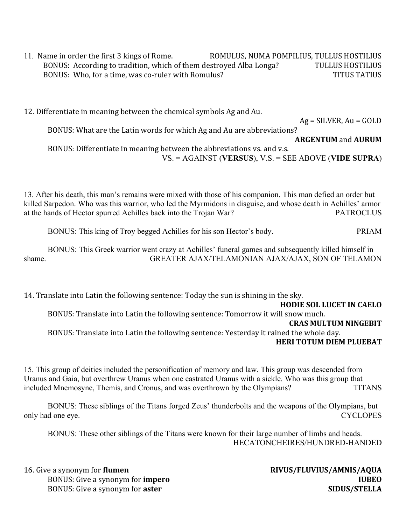11. Name in order the first 3 kings of Rome. ROMULUS, NUMA POMPILIUS, TULLUS HOSTILIUS BONUS: According to tradition, which of them destroyed Alba Longa? TULLUS HOSTILIUS BONUS: Who, for a time, was co-ruler with Romulus? THE CONUS TITUS TATIUS

12. Differentiate in meaning between the chemical symbols Ag and Au.

 $Ag = SILVER, Au = GOLD$ 

BONUS: What are the Latin words for which Ag and Au are abbreviations? **ARGENTUM** and **AURUM** BONUS: Differentiate in meaning between the abbreviations vs. and v.s. VS. = AGAINST (**VERSUS**), V.S. = SEE ABOVE (**VIDE SUPRA**)

13. After his death, this man's remains were mixed with those of his companion. This man defied an order but killed Sarpedon. Who was this warrior, who led the Myrmidons in disguise, and whose death in Achilles' armor at the hands of Hector spurred Achilles back into the Trojan War? PATROCLUS

BONUS: This king of Troy begged Achilles for his son Hector's body. PRIAM

BONUS: This Greek warrior went crazy at Achilles' funeral games and subsequently killed himself in shame. GREATER AJAX/TELAMONIAN AJAX/AJAX, SON OF TELAMON

14. Translate into Latin the following sentence: Today the sun is shining in the sky.

### **HODIE SOL LUCET IN CAELO**

BONUS: Translate into Latin the following sentence: Tomorrow it will snow much.

#### **CRAS MULTUM NINGEBIT**

BONUS: Translate into Latin the following sentence: Yesterday it rained the whole day. **HERI TOTUM DIEM PLUEBAT** 

15. This group of deities included the personification of memory and law. This group was descended from Uranus and Gaia, but overthrew Uranus when one castrated Uranus with a sickle. Who was this group that included Mnemosyne, Themis, and Cronus, and was overthrown by the Olympians? TITANS

BONUS: These siblings of the Titans forged Zeus' thunderbolts and the weapons of the Olympians, but only had one eye. CYCLOPES

BONUS: These other siblings of the Titans were known for their large number of limbs and heads. HECATONCHEIRES/HUNDRED-HANDED

16. Give a synonym for **flumen RIVUS/FLUVIUS/AMNIS/AQUA** BONUS: Give a synonym for **impero IUBEO** BONUS: Give a synonym for **aster SIDUS/STELLA**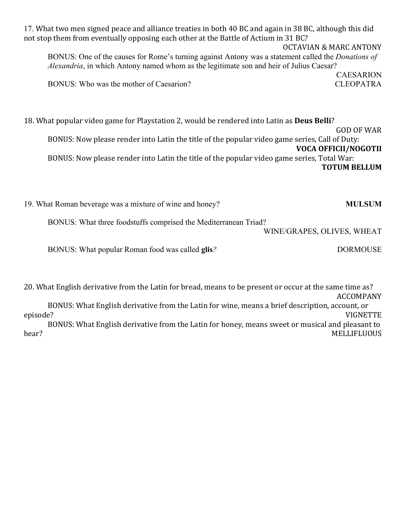| 17. What two men signed peace and alliance treaties in both 40 BC and again in 38 BC, although this did<br>not stop them from eventually opposing each other at the Battle of Actium in 31 BC?<br><b>OCTAVIAN &amp; MARC ANTONY</b> |                             |  |
|-------------------------------------------------------------------------------------------------------------------------------------------------------------------------------------------------------------------------------------|-----------------------------|--|
| BONUS: One of the causes for Rome's turning against Antony was a statement called the <i>Donations of</i>                                                                                                                           |                             |  |
| Alexandria, in which Antony named whom as the legitimate son and heir of Julius Caesar?                                                                                                                                             |                             |  |
|                                                                                                                                                                                                                                     | <b>CAESARION</b>            |  |
| BONUS: Who was the mother of Caesarion?                                                                                                                                                                                             | <b>CLEOPATRA</b>            |  |
|                                                                                                                                                                                                                                     |                             |  |
| 18. What popular video game for Playstation 2, would be rendered into Latin as <b>Deus Belli</b> ?                                                                                                                                  |                             |  |
|                                                                                                                                                                                                                                     | GOD OF WAR                  |  |
| BONUS: Now please render into Latin the title of the popular video game series, Call of Duty:                                                                                                                                       |                             |  |
|                                                                                                                                                                                                                                     | <b>VOCA OFFICII/NOGOTII</b> |  |
| BONUS: Now please render into Latin the title of the popular video game series, Total War:                                                                                                                                          |                             |  |
|                                                                                                                                                                                                                                     | <b>TOTUM BELLUM</b>         |  |

| <b>MULSUM</b>              | 19. What Roman beverage was a mixture of wine and honey?        |
|----------------------------|-----------------------------------------------------------------|
| WINE/GRAPES, OLIVES, WHEAT | BONUS: What three foodstuffs comprised the Mediterranean Triad? |
| <b>DORMOUSE</b>            | BONUS: What popular Roman food was called <b>glis</b> ?         |

20. What English derivative from the Latin for bread, means to be present or occur at the same time as? ACCOMPANY BONUS: What English derivative from the Latin for wine, means a brief description, account, or episode? episode? VIGNETTE BONUS: What English derivative from the Latin for honey, means sweet or musical and pleasant to hear? MELLIFLUOUS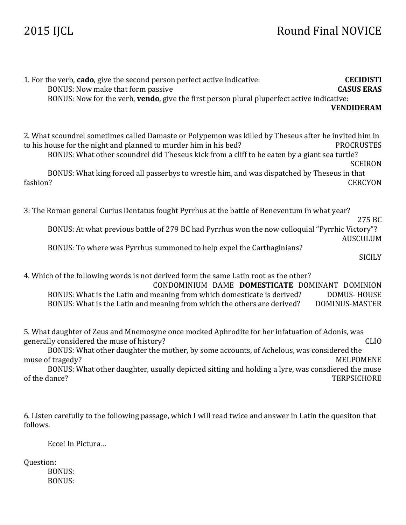# 2015 IJCL Round Final NOVICE

| 1. For the verb, cado, give the second person perfect active indicative:<br>BONUS: Now make that form passive<br>BONUS: Now for the verb, vendo, give the first person plural pluperfect active indicative:                                                                                                                                                                          | <b>CECIDISTI</b><br><b>CASUS ERAS</b><br><b>VENDIDERAM</b> |
|--------------------------------------------------------------------------------------------------------------------------------------------------------------------------------------------------------------------------------------------------------------------------------------------------------------------------------------------------------------------------------------|------------------------------------------------------------|
| 2. What scoundrel sometimes called Damaste or Polypemon was killed by Theseus after he invited him in<br>to his house for the night and planned to murder him in his bed?<br>BONUS: What other scoundrel did Theseus kick from a cliff to be eaten by a giant sea turtle?<br>BONUS: What king forced all passerbys to wrestle him, and was dispatched by Theseus in that<br>fashion? | <b>PROCRUSTES</b><br><b>SCEIRON</b><br><b>CERCYON</b>      |
| 3: The Roman general Curius Dentatus fought Pyrrhus at the battle of Beneventum in what year?<br>BONUS: At what previous battle of 279 BC had Pyrrhus won the now colloquial "Pyrrhic Victory"?<br>BONUS: To where was Pyrrhus summoned to help expel the Carthaginians?                                                                                                             | 275 BC<br><b>AUSCULUM</b><br><b>SICILY</b>                 |
| 4. Which of the following words is not derived form the same Latin root as the other?<br>CONDOMINIUM DAME DOMESTICATE DOMINANT DOMINION<br>BONUS: What is the Latin and meaning from which domesticate is derived?<br><b>DOMUS-HOUSE</b><br>BONUS: What is the Latin and meaning from which the others are derived?<br>DOMINUS-MASTER                                                |                                                            |
| 5. What daughter of Zeus and Mnemosyne once mocked Aphrodite for her infatuation of Adonis, was<br>generally considered the muse of history?<br>BONUS: What other daughter the mother, by some accounts, of Achelous, was considered the<br>muse of tragedy?<br>BONUS: What other daughter, usually depicted sitting and holding a lyre, was consdiered the muse<br>of the dance?    | <b>CLIO</b><br><b>MELPOMENE</b><br><b>TERPSICHORE</b>      |
| 6. Listen carefully to the following passage, which I will read twice and answer in Latin the quesiton that<br>follows.                                                                                                                                                                                                                                                              |                                                            |

Ecce! In Pictura...

Question:

BONUS: BONUS: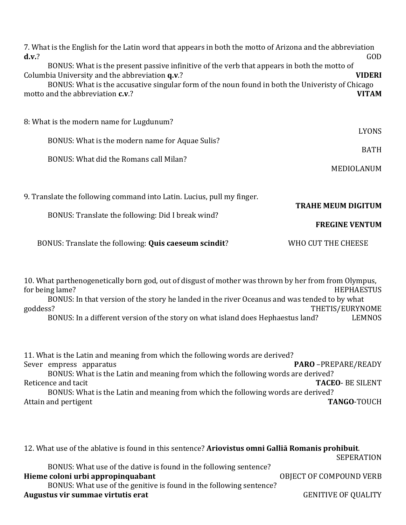| 7. What is the English for the Latin word that appears in both the motto of Arizona and the abbreviation<br>$d.v.$ ?<br>BONUS: What is the present passive infinitive of the verb that appears in both the motto of<br>Columbia University and the abbreviation q.v.?<br>BONUS: What is the accusative singular form of the noun found in both the Univeristy of Chicago<br>motto and the abbreviation c.v.? | GOD<br><b>VIDERI</b><br><b>VITAM</b> |
|--------------------------------------------------------------------------------------------------------------------------------------------------------------------------------------------------------------------------------------------------------------------------------------------------------------------------------------------------------------------------------------------------------------|--------------------------------------|
| 8: What is the modern name for Lugdunum?                                                                                                                                                                                                                                                                                                                                                                     | <b>LYONS</b>                         |
| BONUS: What is the modern name for Aquae Sulis?                                                                                                                                                                                                                                                                                                                                                              | <b>BATH</b>                          |
| BONUS: What did the Romans call Milan?                                                                                                                                                                                                                                                                                                                                                                       | MEDIOLANUM                           |
| 9. Translate the following command into Latin. Lucius, pull my finger.                                                                                                                                                                                                                                                                                                                                       | <b>TRAHE MEUM DIGITUM</b>            |
| BONUS: Translate the following: Did I break wind?                                                                                                                                                                                                                                                                                                                                                            | <b>FREGINE VENTUM</b>                |
| BONUS: Translate the following: Quis caeseum scindit?                                                                                                                                                                                                                                                                                                                                                        | WHO CUT THE CHEESE                   |

10. What parthenogenetically born god, out of disgust of mother was thrown by her from from Olympus, for being lame? HEPHAESTUS BONUS: In that version of the story he landed in the river Oceanus and was tended to by what goddess? THETIS/EURYNOME BONUS: In a different version of the story on what island does Hephaestus land? LEMNOS

11. What is the Latin and meaning from which the following words are derived? Sever empress apparatus **PARO** – PREPARE/READY BONUS: What is the Latin and meaning from which the following words are derived? Reticence and tacit **TACEO**- BE SILENT BONUS: What is the Latin and meaning from which the following words are derived? Attain and pertigent **TANGO**-TOUCH

12. What use of the ablative is found in this sentence? Ariovistus omni Gallia Romanis prohibuit. SEPERATION BONUS: What use of the dative is found in the following sentence? **Hieme coloni urbi appropinquabant** OBJECT OF COMPOUND VERB BONUS: What use of the genitive is found in the following sentence? **Augustus vir summae virtutis erat** GENITIVE OF QUALITY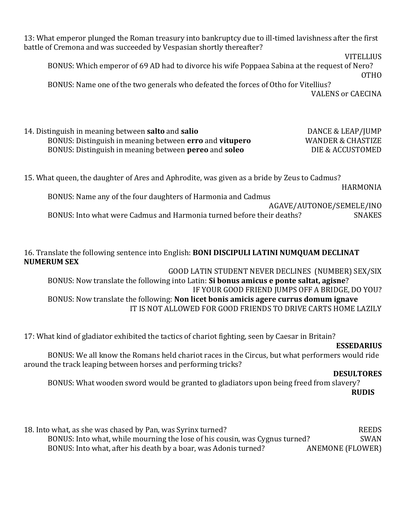13: What emperor plunged the Roman treasury into bankruptcy due to ill-timed lavishness after the first battle of Cremona and was succeeded by Vespasian shortly thereafter?

**VITELLIUS** 

BONUS: Which emperor of 69 AD had to divorce his wife Poppaea Sabina at the request of Nero? OTHO

BONUS: Name one of the two generals who defeated the forces of Otho for Vitellius? VALENS or CAECINA

| 14. Distinguish in meaning between <b>salto</b> and <b>salio</b>      | DANCE & LEAP/JUMP            |
|-----------------------------------------------------------------------|------------------------------|
| BONUS: Distinguish in meaning between <b>erro</b> and <b>vitupero</b> | <b>WANDER &amp; CHASTIZE</b> |
| BONUS: Distinguish in meaning between <b>pereo</b> and <b>soleo</b>   | DIE & ACCUSTOMED             |

15. What queen, the daughter of Ares and Aphrodite, was given as a bride by Zeus to Cadmus? HARMONIA BONUS: Name any of the four daughters of Harmonia and Cadmus

AGAVE/AUTONOE/SEMELE/INO BONUS: Into what were Cadmus and Harmonia turned before their deaths? SNAKES

16. Translate the following sentence into English: **BONI DISCIPULI LATINI NUMQUAM DECLINAT NUMERUM SEX**

GOOD LATIN STUDENT NEVER DECLINES (NUMBER) SEX/SIX BONUS: Now translate the following into Latin: Si bonus amicus e ponte saltat, agisne? IF YOUR GOOD FRIEND JUMPS OFF A BRIDGE, DO YOU? BONUS: Now translate the following: **Non licet bonis amicis agere currus domum ignave** IT IS NOT ALLOWED FOR GOOD FRIENDS TO DRIVE CARTS HOME LAZILY

17: What kind of gladiator exhibited the tactics of chariot fighting, seen by Caesar in Britain?

### **ESSEDARIUS**

BONUS: We all know the Romans held chariot races in the Circus, but what performers would ride around the track leaping between horses and performing tricks?

#### **DESULTORES**

BONUS: What wooden sword would be granted to gladiators upon being freed from slavery? **RUDIS**

| 18. Into what, as she was chased by Pan, was Syrinx turned?                 | <b>REEDS</b>     |
|-----------------------------------------------------------------------------|------------------|
| BONUS: Into what, while mourning the lose of his cousin, was Cygnus turned? | SWAN             |
| BONUS: Into what, after his death by a boar, was Adonis turned?             | ANEMONE (FLOWER) |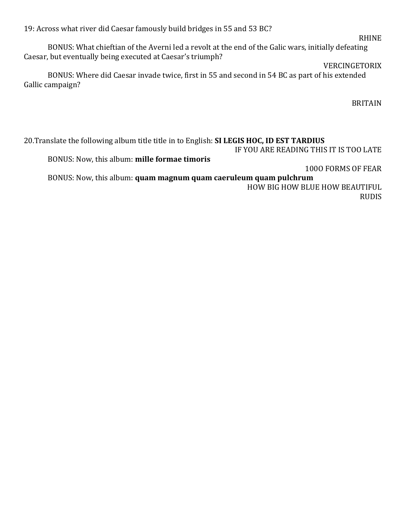19: Across what river did Caesar famously build bridges in 55 and 53 BC?

BONUS: What chieftian of the Averni led a revolt at the end of the Galic wars, initially defeating Caesar, but eventually being executed at Caesar's triumph?

### VERCINGETORIX

BONUS: Where did Caesar invade twice, first in 55 and second in 54 BC as part of his extended Gallic campaign?

BRITAIN

20. Translate the following album title title in to English: SI LEGIS HOC, ID EST TARDIUS IF YOU ARE READING THIS IT IS TOO LATE BONUS: Now, this album: mille formae timoris 1000 FORMS OF FEAR BONUS: Now, this album: **quam magnum quam caeruleum quam pulchrum** 

HOW BIG HOW BLUE HOW BEAUTIFUL RUDIS

#### RHINE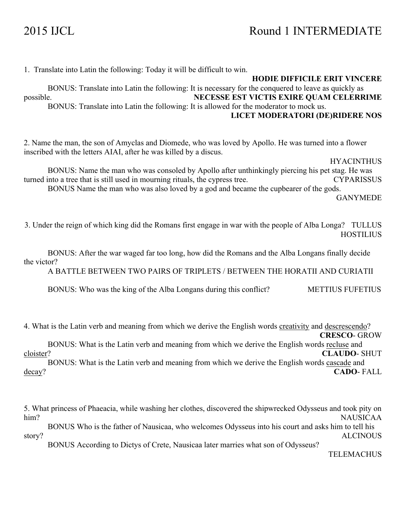1. Translate into Latin the following: Today it will be difficult to win.

**HODIE DIFFICILE ERIT VINCERE** BONUS: Translate into Latin the following: It is necessary for the conquered to leave as quickly as possible. **NECESSE EST VICTIS EXIRE QUAM CELERRIME** BONUS: Translate into Latin the following: It is allowed for the moderator to mock us. **LICET MODERATORI (DE)RIDERE NOS**

2. Name the man, the son of Amyclas and Diomede, who was loved by Apollo. He was turned into a flower inscribed with the letters AIAI, after he was killed by a discus.

HYACINTHUS

BONUS: Name the man who was consoled by Apollo after unthinkingly piercing his pet stag. He was turned into a tree that is still used in mourning rituals, the cypress tree. CYPARISSUS BONUS Name the man who was also loved by a god and became the cupbearer of the gods. GANYMEDE

3. Under the reign of which king did the Romans first engage in war with the people of Alba Longa? TULLUS **HOSTILIUS** 

BONUS: After the war waged far too long, how did the Romans and the Alba Longans finally decide the victor?

A BATTLE BETWEEN TWO PAIRS OF TRIPLETS / BETWEEN THE HORATII AND CURIATII

BONUS: Who was the king of the Alba Longans during this conflict? METTIUS FUFETIUS

4. What is the Latin verb and meaning from which we derive the English words creativity and descrescendo? **CRESCO**- GROW

BONUS: What is the Latin verb and meaning from which we derive the English words recluse and cloister? **CLAUDO**- SHUT

BONUS: What is the Latin verb and meaning from which we derive the English words cascade and decay? **CADO**- FALL

5. What princess of Phaeacia, while washing her clothes, discovered the shipwrecked Odysseus and took pity on him? NAUSICAA

BONUS Who is the father of Nausicaa, who welcomes Odysseus into his court and asks him to tell his story? ALCINOUS

BONUS According to Dictys of Crete, Nausicaa later marries what son of Odysseus?

TELEMACHUS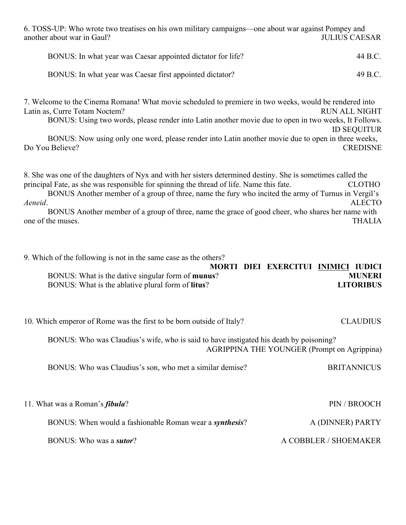6. TOSS-UP: Who wrote two treatises on his own military campaigns—one about war against Pompey and another about war in Gaul? **JULIUS CAESAR** 

| BONUS: In what year was Caesar appointed dictator for life? | 44 B.C. |
|-------------------------------------------------------------|---------|
| BONUS: In what year was Caesar first appointed dictator?    | 49 B.C. |

7. Welcome to the Cinema Romana! What movie scheduled to premiere in two weeks, would be rendered into Latin as, Curre Totam Noctem? RUN ALL NIGHT BONUS: Using two words, please render into Latin another movie due to open in two weeks, It Follows. ID SEQUITUR BONUS: Now using only one word, please render into Latin another movie due to open in three weeks, Do You Believe? CREDISNE

8. She was one of the daughters of Nyx and with her sisters determined destiny. She is sometimes called the principal Fate, as she was responsible for spinning the thread of life. Name this fate. CLOTHO BONUS Another member of a group of three, name the fury who incited the army of Turnus in Vergil's *Aeneid*. ALECTO

BONUS Another member of a group of three, name the grace of good cheer, who shares her name with one of the muses. THALIA

9. Which of the following is not in the same case as the others?

|                                                           | MORTI DIEI EXERCITUI INIMICI IUDICI |                  |
|-----------------------------------------------------------|-------------------------------------|------------------|
| BONUS: What is the dative singular form of munus?         |                                     | <b>MUNERI</b>    |
| BONUS: What is the ablative plural form of <b>litus</b> ? |                                     | <b>LITORIBUS</b> |

10. Which emperor of Rome was the first to be born outside of Italy? CLAUDIUS

BONUS: Who was Claudius's wife, who is said to have instigated his death by poisoning? AGRIPPINA THE YOUNGER (Prompt on Agrippina)

BONUS: Who was Claudius's son, who met a similar demise? BRITANNICUS

| 11. What was a Roman's <i>fibula</i> ?                          | PIN / BROOCH          |
|-----------------------------------------------------------------|-----------------------|
| BONUS: When would a fashionable Roman wear a <i>synthesis</i> ? | A (DINNER) PARTY      |
| BONUS: Who was a <i>sutor</i> ?                                 | A COBBLER / SHOEMAKER |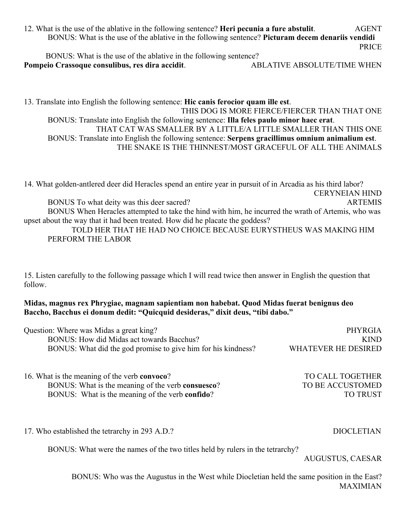12. What is the use of the ablative in the following sentence? **Heri pecunia a fure abstulit**. AGENT BONUS: What is the use of the ablative in the following sentence? **Picturam decem denariis vendidi** PRICE

 BONUS: What is the use of the ablative in the following sentence? **Pompeio Crassoque consulibus, res dira accidit.** ABLATIVE ABSOLUTE/TIME WHEN

13. Translate into English the following sentence: **Hic canis ferocior quam ille est**. THIS DOG IS MORE FIERCE/FIERCER THAN THAT ONE BONUS: Translate into English the following sentence: **Illa feles paulo minor haec erat**. THAT CAT WAS SMALLER BY A LITTLE/A LITTLE SMALLER THAN THIS ONE BONUS: Translate into English the following sentence: **Serpens gracillimus omnium animalium est**. THE SNAKE IS THE THINNEST/MOST GRACEFUL OF ALL THE ANIMALS

14. What golden-antlered deer did Heracles spend an entire year in pursuit of in Arcadia as his third labor? CERYNEIAN HIND BONUS To what deity was this deer sacred? ARTEMIS BONUS When Heracles attempted to take the hind with him, he incurred the wrath of Artemis, who was upset about the way that it had been treated. How did he placate the goddess? TOLD HER THAT HE HAD NO CHOICE BECAUSE EURYSTHEUS WAS MAKING HIM

# PERFORM THE LABOR

15. Listen carefully to the following passage which I will read twice then answer in English the question that follow.

### **Midas, magnus rex Phrygiae, magnam sapientiam non habebat. Quod Midas fuerat benignus deo Baccho, Bacchus ei donum dedit: "Quicquid desideras," dixit deus, "tibi dabo."**

| Question: Where was Midas a great king?                       | PHYRGIA                    |
|---------------------------------------------------------------|----------------------------|
| BONUS: How did Midas act towards Bacchus?                     | <b>KIND</b>                |
| BONUS: What did the god promise to give him for his kindness? | <b>WHATEVER HE DESIRED</b> |
| 16. What is the meaning of the verb convoco?                  | TO CALL TOGETHER           |
| BONUS: What is the meaning of the verb consuesco?             | TO BE ACCUSTOMED           |

BONUS: What is the meaning of the verb **confido**? TO TRUST

17. Who established the tetrarchy in 293 A.D.? DIOCLETIAN

BONUS: What were the names of the two titles held by rulers in the tetrarchy?

AUGUSTUS, CAESAR

BONUS: Who was the Augustus in the West while Diocletian held the same position in the East? MAXIMIAN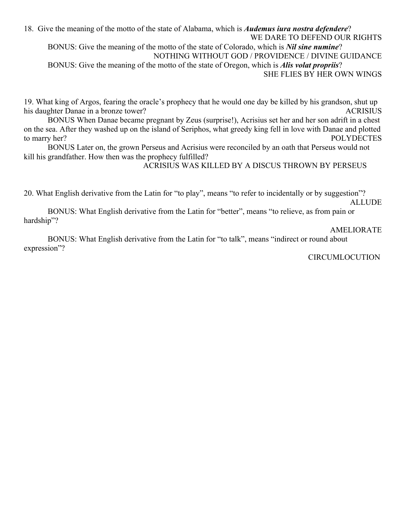18. Give the meaning of the motto of the state of Alabama, which is *Audemus iura nostra defendere*? WE DARE TO DEFEND OUR RIGHTS BONUS: Give the meaning of the motto of the state of Colorado, which is *Nil sine numine*? NOTHING WITHOUT GOD / PROVIDENCE / DIVINE GUIDANCE BONUS: Give the meaning of the motto of the state of Oregon, which is *Alis volat propriis*? SHE FLIES BY HER OWN WINGS

19. What king of Argos, fearing the oracle's prophecy that he would one day be killed by his grandson, shut up his daughter Danae in a bronze tower? ACRISIUS

BONUS When Danae became pregnant by Zeus (surprise!), Acrisius set her and her son adrift in a chest on the sea. After they washed up on the island of Seriphos, what greedy king fell in love with Danae and plotted to marry her? POLYDECTES

BONUS Later on, the grown Perseus and Acrisius were reconciled by an oath that Perseus would not kill his grandfather. How then was the prophecy fulfilled?

ACRISIUS WAS KILLED BY A DISCUS THROWN BY PERSEUS

20. What English derivative from the Latin for "to play", means "to refer to incidentally or by suggestion"?

ALLUDE

BONUS: What English derivative from the Latin for "better", means "to relieve, as from pain or hardship"?

#### AMELIORATE

BONUS: What English derivative from the Latin for "to talk", means "indirect or round about expression"?

CIRCUMLOCUTION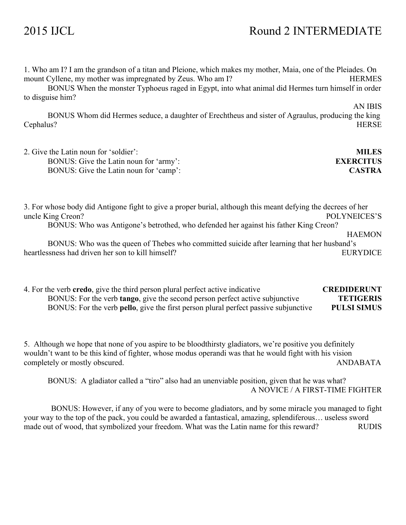## 2015 IJCL Round 2 INTERMEDIATE

1. Who am I? I am the grandson of a titan and Pleione, which makes my mother, Maia, one of the Pleiades. On mount Cyllene, my mother was impregnated by Zeus. Who am I? HERMES

BONUS When the monster Typhoeus raged in Egypt, into what animal did Hermes turn himself in order to disguise him?

BONUS Whom did Hermes seduce, a daughter of Erechtheus and sister of Agraulus, producing the king Cephalus? HERSE

2. Give the Latin noun for 'soldier': **MILES** BONUS: Give the Latin noun for 'army': **EXERCITUS** BONUS: Give the Latin noun for 'camp': **CASTRA**

3. For whose body did Antigone fight to give a proper burial, although this meant defying the decrees of her uncle King Creon? POLYNEICES'S BONUS: Who was Antigone's betrothed, who defended her against his father King Creon?

**HAEMON** 

BONUS: Who was the queen of Thebes who committed suicide after learning that her husband's heartlessness had driven her son to kill himself? EURYDICE

4. For the verb **credo**, give the third person plural perfect active indicative **CREDIDERUNT** BONUS: For the verb **tango**, give the second person perfect active subjunctive **TETIGERIS** BONUS: For the verb **pello**, give the first person plural perfect passive subjunctive **PULSI SIMUS**

5. Although we hope that none of you aspire to be bloodthirsty gladiators, we're positive you definitely wouldn't want to be this kind of fighter, whose modus operandi was that he would fight with his vision completely or mostly obscured. ANDABATA

BONUS: A gladiator called a "tiro" also had an unenviable position, given that he was what? A NOVICE / A FIRST-TIME FIGHTER

 BONUS: However, if any of you were to become gladiators, and by some miracle you managed to fight your way to the top of the pack, you could be awarded a fantastical, amazing, splendiferous… useless sword made out of wood, that symbolized your freedom. What was the Latin name for this reward? RUDIS

AN IBIS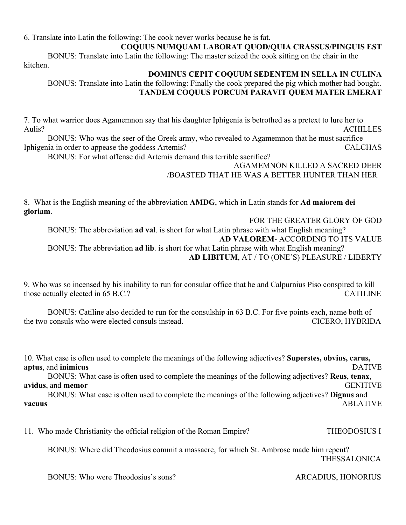6. Translate into Latin the following: The cook never works because he is fat.

#### **COQUUS NUMQUAM LABORAT QUOD/QUIA CRASSUS/PINGUIS EST**

BONUS: Translate into Latin the following: The master seized the cook sitting on the chair in the kitchen.

### **DOMINUS CEPIT COQUUM SEDENTEM IN SELLA IN CULINA**

BONUS: Translate into Latin the following: Finally the cook prepared the pig which mother had bought. **TANDEM COQUUS PORCUM PARAVIT QUEM MATER EMERAT**

7. To what warrior does Agamemnon say that his daughter Iphigenia is betrothed as a pretext to lure her to Aulis? ACHILLES

BONUS: Who was the seer of the Greek army, who revealed to Agamemnon that he must sacrifice Iphigenia in order to appease the goddess Artemis? CALCHAS

BONUS: For what offense did Artemis demand this terrible sacrifice?

#### AGAMEMNON KILLED A SACRED DEER /BOASTED THAT HE WAS A BETTER HUNTER THAN HER

8. What is the English meaning of the abbreviation **AMDG**, which in Latin stands for **Ad maiorem dei gloriam**.

FOR THE GREATER GLORY OF GOD BONUS: The abbreviation **ad val**. is short for what Latin phrase with what English meaning? **AD VALOREM**- ACCORDING TO ITS VALUE BONUS: The abbreviation **ad lib**. is short for what Latin phrase with what English meaning? **AD LIBITUM**, AT / TO (ONE'S) PLEASURE / LIBERTY

9. Who was so incensed by his inability to run for consular office that he and Calpurnius Piso conspired to kill those actually elected in 65 B.C.? CATILINE

BONUS: Catiline also decided to run for the consulship in 63 B.C. For five points each, name both of the two consuls who were elected consuls instead. CICERO, HYBRIDA

10. What case is often used to complete the meanings of the following adjectives? **Superstes, obvius, carus, aptus**, and **inimicus** DATIVE BONUS: What case is often used to complete the meanings of the following adjectives? **Reus**, **tenax**, **avidus**, and **memor** GENITIVE BONUS: What case is often used to complete the meanings of the following adjectives? **Dignus** and **vacuus** ABLATIVE

11. Who made Christianity the official religion of the Roman Empire? THEODOSIUS I

 BONUS: Where did Theodosius commit a massacre, for which St. Ambrose made him repent? THESSALONICA

BONUS: Who were Theodosius's sons? ARCADIUS, HONORIUS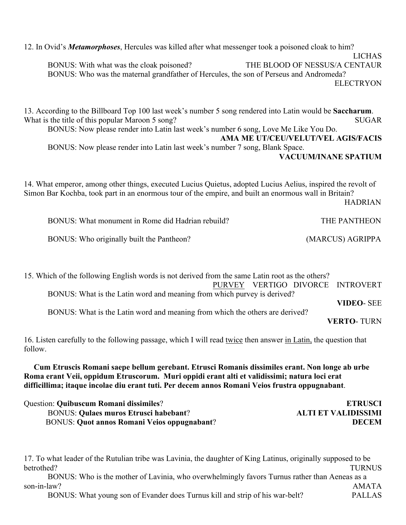12. In Ovid's *Metamorphoses*, Hercules was killed after what messenger took a poisoned cloak to him? LICHAS BONUS: With what was the cloak poisoned? THE BLOOD OF NESSUS/A CENTAUR BONUS: Who was the maternal grandfather of Hercules, the son of Perseus and Andromeda? ELECTRYON

13. According to the Billboard Top 100 last week's number 5 song rendered into Latin would be **Saccharum**. What is the title of this popular Maroon 5 song? SUGAR BONUS: Now please render into Latin last week's number 6 song, Love Me Like You Do. **AMA ME UT/CEU/VELUT/VEL AGIS/FACIS** BONUS: Now please render into Latin last week's number 7 song, Blank Space. **VACUUM/INANE SPATIUM**

14. What emperor, among other things, executed Lucius Quietus, adopted Lucius Aelius, inspired the revolt of Simon Bar Kochba, took part in an enormous tour of the empire, and built an enormous wall in Britain? HADRIAN

BONUS: What monument in Rome did Hadrian rebuild? THE PANTHEON BONUS: Who originally built the Pantheon? (MARCUS) AGRIPPA

15. Which of the following English words is not derived from the same Latin root as the others? PURVEY VERTIGO DIVORCE INTROVERT

BONUS: What is the Latin word and meaning from which the others are derived?

BONUS: What is the Latin word and meaning from which purvey is derived?

**VERTO**- TURN

**VIDEO**- SEE

16. Listen carefully to the following passage, which I will read twice then answer in Latin, the question that follow.

 **Cum Etruscis Romani saepe bellum gerebant. Etrusci Romanis dissimiles erant. Non longe ab urbe Roma erant Veii, oppidum Etruscorum. Muri oppidi erant alti et validissimi; natura loci erat difficillima; itaque incolae diu erant tuti. Per decem annos Romani Veios frustra oppugnabant**.

| <b>Question: Quibuscum Romani dissimiles?</b>      | <b>ETRUSCI</b>             |
|----------------------------------------------------|----------------------------|
| <b>BONUS: Quiaes muros Etrusci habebant?</b>       | <b>ALTI ET VALIDISSIMI</b> |
| <b>BONUS: Quot annos Romani Veios oppugnabant?</b> | <b>DECEM</b>               |

17. To what leader of the Rutulian tribe was Lavinia, the daughter of King Latinus, originally supposed to be betrothed? TURNUS BONUS: Who is the mother of Lavinia, who overwhelmingly favors Turnus rather than Aeneas as a son-in-law? AMATA BONUS: What young son of Evander does Turnus kill and strip of his war-belt? PALLAS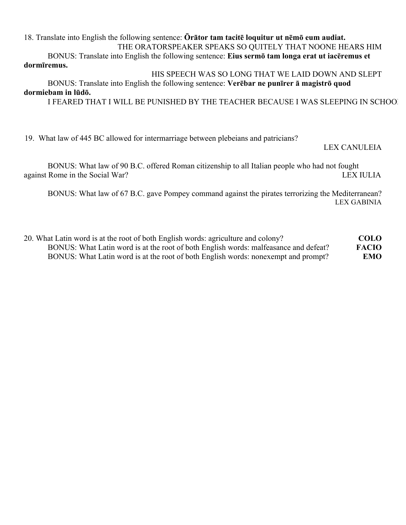18. Translate into English the following sentence: **Ōrātor tam tacitē loquitur ut nēmō eum audiat.** THE ORATORSPEAKER SPEAKS SO QUITELY THAT NOONE HEARS HIM

BONUS: Translate into English the following sentence: **Eius sermō tam longa erat ut iacēremus et dormīremus.**

HIS SPEECH WAS SO LONG THAT WE LAID DOWN AND SLEPT BONUS: Translate into English the following sentence: **Verēbar ne punīrer ā magistrō quod dormiebam in lūdō.**

I FEARED THAT I WILL BE PUNISHED BY THE TEACHER BECAUSE I WAS SLEEPING IN SCHOOL

19. What law of 445 BC allowed for intermarriage between plebeians and patricians?

#### LEX CANULEIA

BONUS: What law of 90 B.C. offered Roman citizenship to all Italian people who had not fought against Rome in the Social War? LEX IULIA

BONUS: What law of 67 B.C. gave Pompey command against the pirates terrorizing the Mediterranean? LEX GABINIA

20. What Latin word is at the root of both English words: agriculture and colony? **COLO** BONUS: What Latin word is at the root of both English words: malfeasance and defeat? **FACIO** BONUS: What Latin word is at the root of both English words: nonexempt and prompt? **EMO**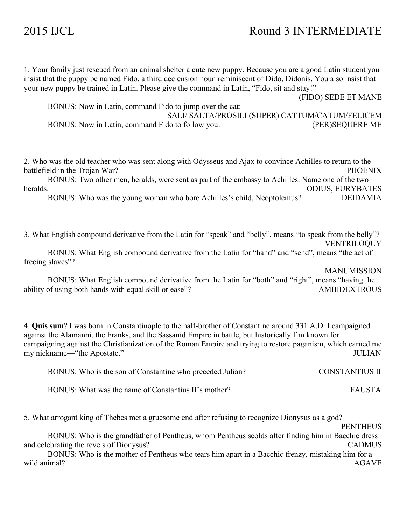## 2015 IJCL Round 3 INTERMEDIATE

1. Your family just rescued from an animal shelter a cute new puppy. Because you are a good Latin student you insist that the puppy be named Fido, a third declension noun reminiscent of Dido, Didonis. You also insist that your new puppy be trained in Latin. Please give the command in Latin, "Fido, sit and stay!"

(FIDO) SEDE ET MANE

BONUS: Now in Latin, command Fido to jump over the cat: SALI/ SALTA/PROSILI (SUPER) CATTUM/CATUM/FELICEM BONUS: Now in Latin, command Fido to follow you: (PER)SEQUERE ME

2. Who was the old teacher who was sent along with Odysseus and Ajax to convince Achilles to return to the battlefield in the Trojan War? PHOENIX

BONUS: Two other men, heralds, were sent as part of the embassy to Achilles. Name one of the two heralds. ODIUS, EURYBATES

BONUS: Who was the young woman who bore Achilles's child, Neoptolemus? DEIDAMIA

3. What English compound derivative from the Latin for "speak" and "belly", means "to speak from the belly"? VENTRILOQUY

BONUS: What English compound derivative from the Latin for "hand" and "send", means "the act of freeing slaves"?

MANUMISSION

BONUS: What English compound derivative from the Latin for "both" and "right", means "having the ability of using both hands with equal skill or ease"? AMBIDEXTROUS

4. **Quis sum**? I was born in Constantinople to the half-brother of Constantine around 331 A.D. I campaigned against the Alamanni, the Franks, and the Sassanid Empire in battle, but historically I'm known for campaigning against the Christianization of the Roman Empire and trying to restore paganism, which earned me my nickname—"the Apostate." JULIAN

| BONUS: Who is the son of Constantine who preceded Julian? | <b>CONSTANTIUS II</b> |  |
|-----------------------------------------------------------|-----------------------|--|
| BONUS: What was the name of Constantius II's mother?      | <b>FAUSTA</b>         |  |

5. What arrogant king of Thebes met a gruesome end after refusing to recognize Dionysus as a god?

**PENTHEUS** 

BONUS: Who is the grandfather of Pentheus, whom Pentheus scolds after finding him in Bacchic dress and celebrating the revels of Dionysus? CADMUS

BONUS: Who is the mother of Pentheus who tears him apart in a Bacchic frenzy, mistaking him for a wild animal? AGAVE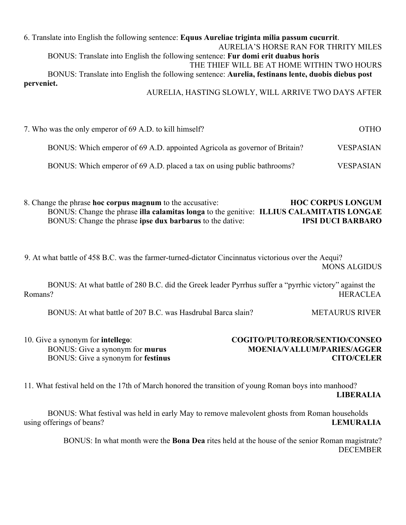6. Translate into English the following sentence: **Equus Aureliae triginta milia passum cucurrit**. AURELIA'S HORSE RAN FOR THRITY MILES BONUS: Translate into English the following sentence: **Fur domi erit duabus horis** THE THIEF WILL BE AT HOME WITHIN TWO HOURS BONUS: Translate into English the following sentence: **Aurelia, festinans lente, duobis diebus post perveniet.** AURELIA, HASTING SLOWLY, WILL ARRIVE TWO DAYS AFTER

7. Who was the only emperor of 69 A.D. to kill himself?  $OTHO$ BONUS: Which emperor of 69 A.D. appointed Agricola as governor of Britain? VESPASIAN BONUS: Which emperor of 69 A.D. placed a tax on using public bathrooms? VESPASIAN

8. Change the phrase **hoc corpus magnum** to the accusative: **HOC CORPUS LONGUM** BONUS: Change the phrase **illa calamitas longa** to the genitive: **ILLIUS CALAMITATIS LONGAE** BONUS: Change the phrase **ipse dux barbarus** to the dative: **IPSI DUCI BARBARO**

9. At what battle of 458 B.C. was the farmer-turned-dictator Cincinnatus victorious over the Aequi? MONS ALGIDUS

BONUS: At what battle of 280 B.C. did the Greek leader Pyrrhus suffer a "pyrrhic victory" against the Romans? HERACLEA

BONUS: At what battle of 207 B.C. was Hasdrubal Barca slain? METAURUS RIVER

| 10. Give a synonym for <b>intellego</b> : | COGITO/PUTO/REOR/SENTIO/CONSEO    |
|-------------------------------------------|-----------------------------------|
| BONUS: Give a synonym for murus           | <b>MOENIA/VALLUM/PARIES/AGGER</b> |
| BONUS: Give a synonym for <b>festinus</b> | <b>CITO/CELER</b>                 |

11. What festival held on the 17th of March honored the transition of young Roman boys into manhood? **LIBERALIA**

BONUS: What festival was held in early May to remove malevolent ghosts from Roman households using offerings of beans? **LEMURALIA**

> BONUS: In what month were the **Bona Dea** rites held at the house of the senior Roman magistrate? **DECEMBER**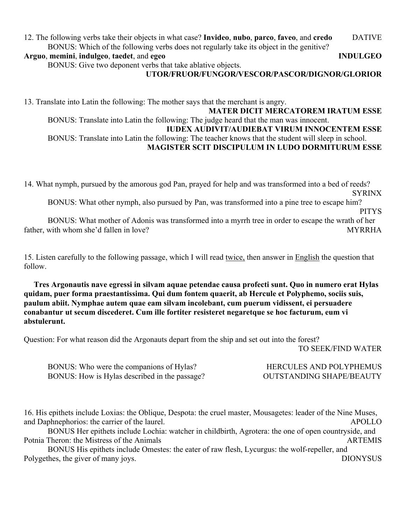#### 12. The following verbs take their objects in what case? **Invideo**, **nubo**, **parco**, **faveo**, and **credo** DATIVE BONUS: Which of the following verbs does not regularly take its object in the genitive?

**Arguo**, **memini**, **indulgeo**, **taedet**, and **egeo INDULGEO**

BONUS: Give two deponent verbs that take ablative objects.

#### **UTOR/FRUOR/FUNGOR/VESCOR/PASCOR/DIGNOR/GLORIOR**

13. Translate into Latin the following: The mother says that the merchant is angry. **MATER DICIT MERCATOREM IRATUM ESSE** BONUS: Translate into Latin the following: The judge heard that the man was innocent. **IUDEX AUDIVIT/AUDIEBAT VIRUM INNOCENTEM ESSE** BONUS: Translate into Latin the following: The teacher knows that the student will sleep in school. **MAGISTER SCIT DISCIPULUM IN LUDO DORMITURUM ESSE**

14. What nymph, pursued by the amorous god Pan, prayed for help and was transformed into a bed of reeds? **SYRINX** 

BONUS: What other nymph, also pursued by Pan, was transformed into a pine tree to escape him?

PITYS

BONUS: What mother of Adonis was transformed into a myrrh tree in order to escape the wrath of her father, with whom she'd fallen in love? MYRRHA

15. Listen carefully to the following passage, which I will read twice, then answer in English the question that follow.

 **Tres Argonautis nave egressi in silvam aquae petendae causa profecti sunt. Quo in numero erat Hylas quidam, puer forma praestantissima. Qui dum fontem quaerit, ab Hercule et Polyphemo, sociis suis, paulum abiit. Nymphae autem quae eam silvam incolebant, cum puerum vidissent, ei persuadere conabantur ut secum discederet. Cum ille fortiter resisteret negaretque se hoc facturum, eum vi abstulerunt.**

Question: For what reason did the Argonauts depart from the ship and set out into the forest?

TO SEEK/FIND WATER

BONUS: Who were the companions of Hylas? HERCULES AND POLYPHEMUS BONUS: How is Hylas described in the passage? OUTSTANDING SHAPE/BEAUTY

16. His epithets include Loxias: the Oblique, Despota: the cruel master, Mousagetes: leader of the Nine Muses, and Daphnephorios: the carrier of the laurel. APOLLO

BONUS Her epithets include Lochia: watcher in childbirth, Agrotera: the one of open countryside, and Potnia Theron: the Mistress of the Animals **ARTEMIS** ARTEMIS

BONUS His epithets include Omestes: the eater of raw flesh, Lycurgus: the wolf-repeller, and Polygethes, the giver of many joys. DIONYSUS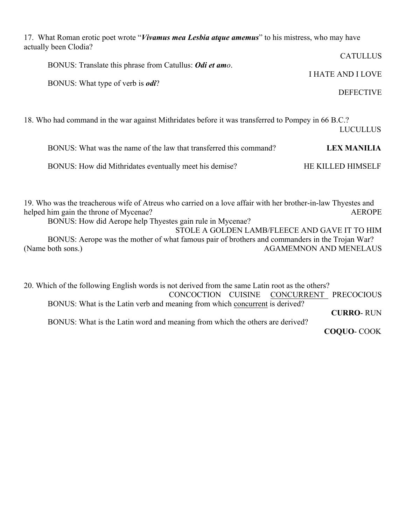17. What Roman erotic poet wrote "*Vivamus mea Lesbia atque amemus*" to his mistress, who may have actually been Clodia?  $CATUUTI$ 

|                                                                 | CATULLUS          |
|-----------------------------------------------------------------|-------------------|
| BONUS: Translate this phrase from Catullus: <i>Odi et amo</i> . |                   |
|                                                                 | I HATE AND I LOVE |
| BONUS: What type of verb is <i>odi</i> ?                        |                   |
|                                                                 | <b>DEFECTIVE</b>  |

18. Who had command in the war against Mithridates before it was transferred to Pompey in 66 B.C.? LUCULLUS

| BONUS: What was the name of the law that transferred this command? | <b>LEX MANILIA</b>       |
|--------------------------------------------------------------------|--------------------------|
| BONUS: How did Mithridates eventually meet his demise?             | <b>HE KILLED HIMSELF</b> |

19. Who was the treacherous wife of Atreus who carried on a love affair with her brother-in-law Thyestes and helped him gain the throne of Mycenae? AEROPE

BONUS: How did Aerope help Thyestes gain rule in Mycenae? STOLE A GOLDEN LAMB/FLEECE AND GAVE IT TO HIM

BONUS: Aerope was the mother of what famous pair of brothers and commanders in the Trojan War? (Name both sons.) AGAMEMNON AND MENELAUS

20. Which of the following English words is not derived from the same Latin root as the others? CONCOCTION CUISINE CONCURRENT PRECOCIOUS BONUS: What is the Latin verb and meaning from which concurrent is derived? **CURRO**- RUN BONUS: What is the Latin word and meaning from which the others are derived? **COQUO**- COOK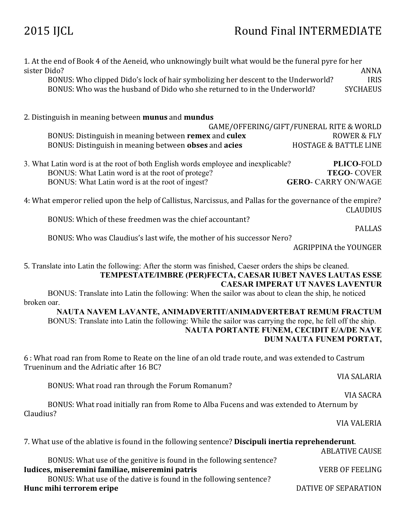1. At the end of Book 4 of the Aeneid, who unknowingly built what would be the funeral pyre for her sister Dido? ANNA BONUS: Who clipped Dido's lock of hair symbolizing her descent to the Underworld? IRIS BONUS: Who was the husband of Dido who she returned to in the Underworld? SYCHAEUS 2. Distinguish in meaning between **munus** and **mundus** GAME/OFFERING/GIFT/FUNERAL RITE & WORLD BONUS: Distinguish in meaning between **remex** and **culex** ROWER & FLY BONUS: Distinguish in meaning between **obses** and **acies** HOSTAGE & BATTLE LINE 3. What Latin word is at the root of both English words employee and inexplicable? **PLICO**-FOLD BONUS: What Latin word is at the root of protege? **TEGO**- COVER BONUS: What Latin word is at the root of ingest? **GERO**- CARRY ON/WAGE 4: What emperor relied upon the help of Callistus, Narcissus, and Pallas for the governance of the empire? **CLAUDIUS** BONUS: Which of these freedmen was the chief accountant? PALLAS BONUS: Who was Claudius's last wife, the mother of his successor Nero? AGRIPPINA the YOUNGER 5. Translate into Latin the following: After the storm was finished, Caeser orders the ships be cleaned. **TEMPESTATE/IMBRE (PER)FECTA, CAESAR IUBET NAVES LAUTAS ESSE CAESAR IMPERAT UT NAVES LAVENTUR** BONUS: Translate into Latin the following: When the sailor was about to clean the ship, he noticed broken oar. **NAUTA NAVEM LAVANTE, ANIMADVERTIT/ANIMADVERTEBAT REMUM FRACTUM** BONUS: Translate into Latin the following: While the sailor was carrying the rope, he fell off the ship. **NAUTA PORTANTE FUNEM, CECIDIT E/A/DE NAVE DUM NAUTA FUNEM PORTAT,**  6 : What road ran from Rome to Reate on the line of an old trade route, and was extended to Castrum Trueninum and the Adriatic after 16 BC? VIA SALARIA BONUS: What road ran through the Forum Romanum? VIA SACRA BONUS: What road initially ran from Rome to Alba Fucens and was extended to Aternum by Claudius? VIA VALERIA 7. What use of the ablative is found in the following sentence? **Discipuli inertia reprehenderunt**. **ABLATIVE CAUSE** BONUS: What use of the genitive is found in the following sentence? **Iudices, miseremini familiae, miseremini patris** VERB OF FEELING BONUS: What use of the dative is found in the following sentence? **Hunc mihi terrorem eripe DATIVE OF SEPARATION**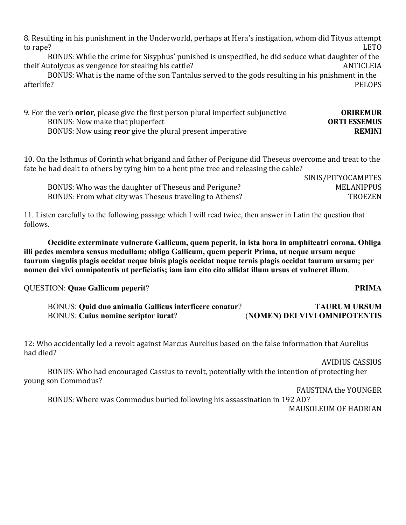8. Resulting in his punishment in the Underworld, perhaps at Hera's instigation, whom did Tityus attempt to rape? LETO

BONUS: While the crime for Sisyphus' punished is unspecified, he did seduce what daughter of the theif Autolycus as vengence for stealing his cattle? ANTICLEIA

BONUS: What is the name of the son Tantalus served to the gods resulting in his pnishment in the afterlife? PELOPS

| 9. For the verb <b>orior</b> , please give the first person plural imperfect subjunctive | <b>ORIREMUR</b>     |
|------------------------------------------------------------------------------------------|---------------------|
| BONUS: Now make that pluperfect                                                          | <b>ORTI ESSEMUS</b> |
| BONUS: Now using reor give the plural present imperative                                 | <b>REMINI</b>       |

10. On the Isthmus of Corinth what brigand and father of Perigune did Theseus overcome and treat to the fate he had dealt to others by tying him to a bent pine tree and releasing the cable?

SINIS/PITYOCAMPTES BONUS: Who was the daughter of Theseus and Perigune? MELANIPPUS BONUS: From what city was Theseus traveling to Athens? TROEZEN

11. Listen carefully to the following passage which I will read twice, then answer in Latin the question that follows.

**Occidite exterminate vulnerate Gallicum, quem peperit, in ista hora in amphiteatri corona. Obliga illi pedes membra sensus medullam; obliga Gallicum, quem peperit Prima, ut neque ursum neque taurum singulis plagis occidat neque binis plagis occidat neque ternis plagis occidat taurum ursum; per nomen dei vivi omnipotentis ut perficiatis; iam iam cito cito allidat illum ursus et vulneret illum**.

QUESTION: **Quae Gallicum peperit**? **PRIMA**

BONUS: **Quid duo animalia Gallicus interficere conatur**? **TAURUM URSUM** BONUS: **Cuius nomine scriptor iurat**? (**NOMEN) DEI VIVI OMNIPOTENTIS**

12: Who accidentally led a revolt against Marcus Aurelius based on the false information that Aurelius had died?

AVIDIUS CASSIUS

BONUS: Who had encouraged Cassius to revolt, potentially with the intention of protecting her young son Commodus?

FAUSTINA the YOUNGER

BONUS: Where was Commodus buried following his assassination in 192 AD?

MAUSOLEUM OF HADRIAN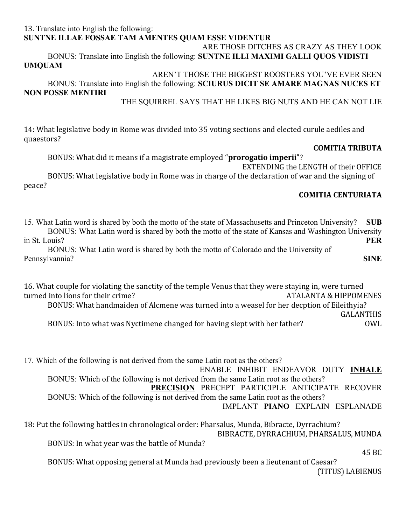#### 13. Translate into English the following: **SUNTNE ILLAE FOSSAE TAM AMENTES QUAM ESSE VIDENTUR** ARE THOSE DITCHES AS CRAZY AS THEY LOOK

BONUS: Translate into English the following: **SUNTNE ILLI MAXIMI GALLI QUOS VIDISTI UMQUAM** 

AREN'T THOSE THE BIGGEST ROOSTERS YOU'VE EVER SEEN BONUS: Translate into English the following: **SCIURUS DICIT SE AMARE MAGNAS NUCES ET NON POSSE MENTIRI**

THE SQUIRREL SAYS THAT HE LIKES BIG NUTS AND HE CAN NOT LIE

14: What legislative body in Rome was divided into 35 voting sections and elected curule aediles and quaestors?

### **COMITIA TRIBUTA**

BONUS: What did it means if a magistrate employed "**prorogatio imperii**"?

EXTENDING the LENGTH of their OFFICE BONUS: What legislative body in Rome was in charge of the declaration of war and the signing of peace?

### **COMITIA CENTURIATA**

15. What Latin word is shared by both the motto of the state of Massachusetts and Princeton University? **SUB** BONUS: What Latin word is shared by both the motto of the state of Kansas and Washington University in St. Louis? **PER**

BONUS: What Latin word is shared by both the motto of Colorado and the University of Pennsylvannia? **SINE**

16. What couple for violating the sanctity of the temple Venus that they were staying in, were turned turned into lions for their crime? ATALANTA & HIPPOMENES BONUS: What handmaiden of Alcmene was turned into a weasel for her decption of Eileithyia? GALANTHIS BONUS: Into what was Nyctimene changed for having slept with her father? 0WL

17. Which of the following is not derived from the same Latin root as the others? ENABLE INHIBIT ENDEAVOR DUTY **INHALE** BONUS: Which of the following is not derived from the same Latin root as the others? **PRECISION** PRECEPT PARTICIPLE ANTICIPATE RECOVER BONUS: Which of the following is not derived from the same Latin root as the others? IMPLANT **PIANO** EXPLAIN ESPLANADE

18: Put the following battles in chronological order: Pharsalus, Munda, Bibracte, Dyrrachium? BIBRACTE, DYRRACHIUM, PHARSALUS, MUNDA BONUS: In what year was the battle of Munda?

45 BC

BONUS: What opposing general at Munda had previously been a lieutenant of Caesar? (TITUS) LABIENUS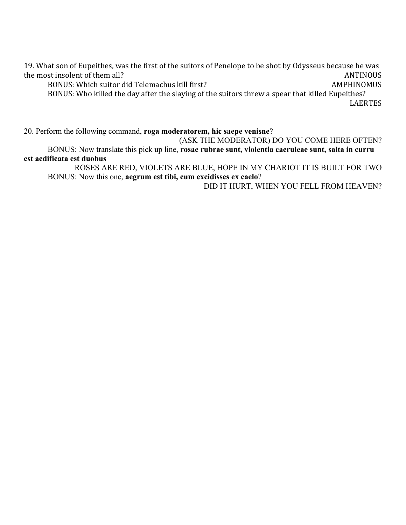19. What son of Eupeithes, was the first of the suitors of Penelope to be shot by Odysseus because he was the most insolent of them all? ANTINOUS

BONUS: Which suitor did Telemachus kill first? AMPHINOMUS

BONUS: Who killed the day after the slaying of the suitors threw a spear that killed Eupeithes? LAERTES 

20. Perform the following command, **roga moderatorem, hic saepe venisne**?

(ASK THE MODERATOR) DO YOU COME HERE OFTEN? BONUS: Now translate this pick up line, **rosae rubrae sunt, violentia caeruleae sunt, salta in curru est aedificata est duobus** 

ROSES ARE RED, VIOLETS ARE BLUE, HOPE IN MY CHARIOT IT IS BUILT FOR TWO BONUS: Now this one, **aegrum est tibi, cum excidisses ex caelo**?

DID IT HURT, WHEN YOU FELL FROM HEAVEN?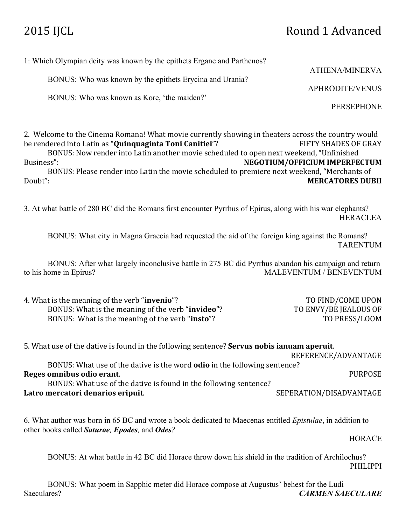## 2015 IJCL Round 1 Advanced

| 1: Which Olympian deity was known by the epithets Ergane and Parthenos? |                        |
|-------------------------------------------------------------------------|------------------------|
|                                                                         | <b>ATHENA/MINERVA</b>  |
| BONUS: Who was known by the epithets Erycina and Urania?                |                        |
|                                                                         | <b>APHRODITE/VENUS</b> |
| BONUS: Who was known as Kore, 'the maiden?'                             |                        |
|                                                                         | <b>PERSEPHONE</b>      |
|                                                                         |                        |
| וו ונות היום והיום והיום ומותוחת להווים ומותיח                          |                        |

2. Welcome to the Cinema Romana! What movie currently showing in theaters across the country would be rendered into Latin as "**Quinquaginta Toni Canitiei**"? FIFTY SHADES OF GRAY BONUS: Now render into Latin another movie scheduled to open next weekend, "Unfinished Business": **NEGOTIUM/OFFICIUM IMPERFECTUM** 

BONUS: Please render into Latin the movie scheduled to premiere next weekend, "Merchants of Doubt": **MERCATORES DUBII** 

3. At what battle of 280 BC did the Romans first encounter Pyrrhus of Epirus, along with his war elephants? HERACLEA

BONUS: What city in Magna Graecia had requested the aid of the foreign king against the Romans? TARENTUM

BONUS: After what largely inconclusive battle in 275 BC did Pyrrhus abandon his campaign and return to his home in Epirus? MALEVENTUM / BENEVENTUM

| 4. What is the meaning of the verb " <b>invenio</b> "?     | TO FIND/COME UPON     |
|------------------------------------------------------------|-----------------------|
| BONUS: What is the meaning of the verb " <b>invideo</b> "? | TO ENVY/BE JEALOUS OF |
| BONUS: What is the meaning of the verb "insto"?            | TO PRESS/LOOM         |

| 5. What use of the dative is found in the following sentence? <b>Servus nobis ianuam aperuit</b> . |                         |
|----------------------------------------------------------------------------------------------------|-------------------------|
|                                                                                                    | REFERENCE/ADVANTAGE     |
| BONUS: What use of the dative is the word odio in the following sentence?                          |                         |
| Reges omnibus odio erant.                                                                          | <b>PURPOSE</b>          |
| BONUS: What use of the dative is found in the following sentence?                                  |                         |
| Latro mercatori denarios eripuit.                                                                  | SEPERATION/DISADVANTAGE |
|                                                                                                    |                         |
|                                                                                                    |                         |

6. What author was born in 65 BC and wrote a book dedicated to Maecenas entitled *Epistulae*, in addition to other books called *Saturae, Epodes,* and *Odes?*

HORACE

BONUS: At what battle in 42 BC did Horace throw down his shield in the tradition of Archilochus? PHILIPPI

BONUS: What poem in Sapphic meter did Horace compose at Augustus' behest for the Ludi Saeculares? *CARMEN SAECULARE*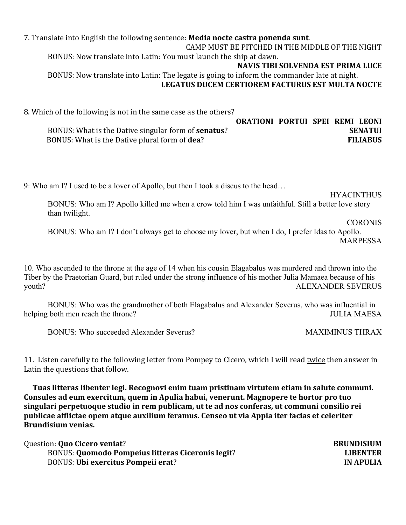7. Translate into English the following sentence: **Media nocte castra ponenda sunt**. CAMP MUST BE PITCHED IN THE MIDDLE OF THE NIGHT BONUS: Now translate into Latin: You must launch the ship at dawn. **NAVIS TIBI SOLVENDA EST PRIMA LUCE** BONUS: Now translate into Latin: The legate is going to inform the commander late at night. LEGATUS DUCEM CERTIOREM FACTURUS EST MULTA NOCTE

8. Which of the following is not in the same case as the others?

|                                                             |  | <b>ORATIONI PORTUI SPEI REMI LEONI</b> |
|-------------------------------------------------------------|--|----------------------------------------|
| BONUS: What is the Dative singular form of <b>senatus</b> ? |  | <b>SENATUI</b>                         |
| BONUS: What is the Dative plural form of <b>dea</b> ?       |  | <b>FILIABUS</b>                        |

9: Who am I? I used to be a lover of Apollo, but then I took a discus to the head…

**HYACINTHUS** 

BONUS: Who am I? Apollo killed me when a crow told him I was unfaithful. Still a better love story than twilight.

#### CORONIS

BONUS: Who am I? I don't always get to choose my lover, but when I do, I prefer Idas to Apollo. MARPESSA

10. Who ascended to the throne at the age of 14 when his cousin Elagabalus was murdered and thrown into the Tiber by the Praetorian Guard, but ruled under the strong influence of his mother Julia Mamaea because of his youth? ALEXANDER SEVERUS

BONUS: Who was the grandmother of both Elagabalus and Alexander Severus, who was influential in helping both men reach the throne? TULIA MAESA

BONUS: Who succeeded Alexander Severus? MAXIMINUS THRAX

11. Listen carefully to the following letter from Pompey to Cicero, which I will read twice then answer in Latin the questions that follow.

Tuas litteras libenter legi. Recognovi enim tuam pristinam virtutem etiam in salute communi. Consules ad eum exercitum, quem in Apulia habui, venerunt. Magnopere te hortor pro tuo singulari perpetuoque studio in rem publicam, ut te ad nos conferas, ut communi consilio rei publicae afflictae opem atque auxilium feramus. Censeo ut via Appia iter facias et celeriter **Brundisium venias.**

| Question: Quo Cicero veniat?                             | <b>BRUNDISIUM</b> |
|----------------------------------------------------------|-------------------|
| <b>BONUS: Quomodo Pompeius litteras Ciceronis legit?</b> | <b>LIBENTER</b>   |
| <b>BONUS: Ubi exercitus Pompeii erat?</b>                | <b>IN APULIA</b>  |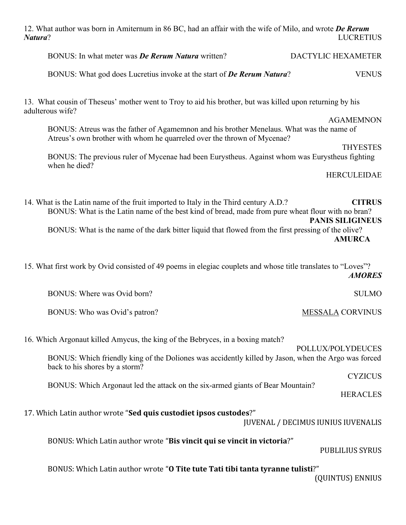| 12. What author was born in Amiternum in 86 BC, had an affair with the wife of Milo, and wrote De Rerum<br>Natura?                                                                                                                                                                               | <b>LUCRETIUS</b>                                          |
|--------------------------------------------------------------------------------------------------------------------------------------------------------------------------------------------------------------------------------------------------------------------------------------------------|-----------------------------------------------------------|
| BONUS: In what meter was <b>De Rerum Natura</b> written?                                                                                                                                                                                                                                         | DACTYLIC HEXAMETER                                        |
| BONUS: What god does Lucretius invoke at the start of <b>De Rerum Natura?</b>                                                                                                                                                                                                                    | <b>VENUS</b>                                              |
| 13. What cousin of Theseus' mother went to Troy to aid his brother, but was killed upon returning by his<br>adulterous wife?                                                                                                                                                                     |                                                           |
| BONUS: Atreus was the father of Agamemnon and his brother Menelaus. What was the name of<br>Atreus's own brother with whom he quarreled over the thrown of Mycenae?                                                                                                                              | <b>AGAMEMNON</b><br><b>THYESTES</b>                       |
| BONUS: The previous ruler of Mycenae had been Eurystheus. Against whom was Eurystheus fighting<br>when he died?                                                                                                                                                                                  |                                                           |
|                                                                                                                                                                                                                                                                                                  | <b>HERCULEIDAE</b>                                        |
| 14. What is the Latin name of the fruit imported to Italy in the Third century A.D.?<br>BONUS: What is the Latin name of the best kind of bread, made from pure wheat flour with no bran?<br>BONUS: What is the name of the dark bitter liquid that flowed from the first pressing of the olive? | <b>CITRUS</b><br><b>PANIS SILIGINEUS</b><br><b>AMURCA</b> |
| 15. What first work by Ovid consisted of 49 poems in elegiac couplets and whose title translates to "Loves"?                                                                                                                                                                                     | <b>AMORES</b>                                             |
| BONUS: Where was Ovid born?                                                                                                                                                                                                                                                                      | <b>SULMO</b>                                              |
| BONUS: Who was Ovid's patron?                                                                                                                                                                                                                                                                    | <b>MESSALA CORVINUS</b>                                   |
| 16. Which Argonaut killed Amycus, the king of the Bebryces, in a boxing match?<br>BONUS: Which friendly king of the Doliones was accidently killed by Jason, when the Argo was forced                                                                                                            | POLLUX/POLYDEUCES                                         |
| back to his shores by a storm?                                                                                                                                                                                                                                                                   | <b>CYZICUS</b>                                            |
| BONUS: Which Argonaut led the attack on the six-armed giants of Bear Mountain?                                                                                                                                                                                                                   | <b>HERACLES</b>                                           |
| 17. Which Latin author wrote "Sed quis custodiet ipsos custodes?"                                                                                                                                                                                                                                | <b>JUVENAL / DECIMUS IUNIUS IUVENALIS</b>                 |
| BONUS: Which Latin author wrote "Bis vincit qui se vincit in victoria?"                                                                                                                                                                                                                          | <b>PUBLILIUS SYRUS</b>                                    |
| BONUS: Which Latin author wrote "O Tite tute Tati tibi tanta tyranne tulisti?"                                                                                                                                                                                                                   | (QUINTUS) ENNIUS                                          |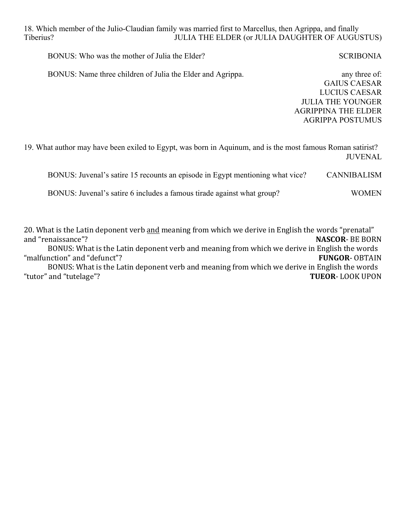18. Which member of the Julio-Claudian family was married first to Marcellus, then Agrippa, and finally Tiberius? JULIA THE ELDER (or JULIA DAUGHTER OF AUGUSTUS)

BONUS: Who was the mother of Julia the Elder? SCRIBONIA

BONUS: Name three children of Julia the Elder and Agrippa. any three of:

GAIUS CAESAR LUCIUS CAESAR JULIA THE YOUNGER AGRIPPINA THE ELDER AGRIPPA POSTUMUS

19. What author may have been exiled to Egypt, was born in Aquinum, and is the most famous Roman satirist? JUVENAL

| BONUS: Juvenal's satire 15 recounts an episode in Egypt mentioning what vice? | CANNIBALISM  |
|-------------------------------------------------------------------------------|--------------|
| BONUS: Juvenal's satire 6 includes a famous tirade against what group?        | <b>WOMEN</b> |

20. What is the Latin deponent verb and meaning from which we derive in English the words "prenatal" and "renaissance"? **NASCOR- BE BORN** BONUS: What is the Latin deponent verb and meaning from which we derive in English the words "malfunction" and "defunct"? **FUNGOR- OBTAIN** BONUS: What is the Latin deponent verb and meaning from which we derive in English the words "tutor" and "tutelage"? **TUEOR**- LOOK UPON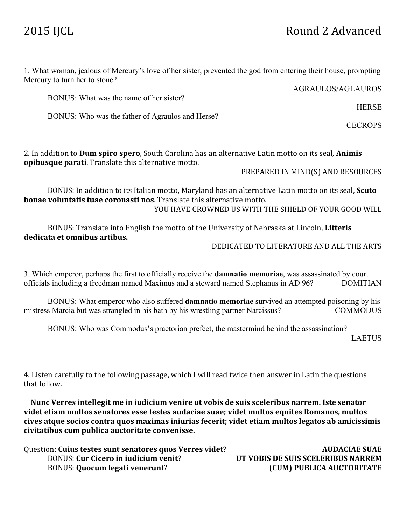## 2015 IJCL Round 2 Advanced

1. What woman, jealous of Mercury's love of her sister, prevented the god from entering their house, prompting Mercury to turn her to stone?

AGRAULOS/AGLAUROS

BONUS: What was the name of her sister?

BONUS: Who was the father of Agraulos and Herse?

2. In addition to **Dum spiro spero**, South Carolina has an alternative Latin motto on its seal, **Animis opibusque parati**. Translate this alternative motto.

#### PREPARED IN MIND(S) AND RESOURCES

BONUS: In addition to its Italian motto, Maryland has an alternative Latin motto on its seal, **Scuto bonae voluntatis tuae coronasti nos**. Translate this alternative motto. YOU HAVE CROWNED US WITH THE SHIELD OF YOUR GOOD WILL

BONUS: Translate into English the motto of the University of Nebraska at Lincoln, Litteris **dedicata et omnibus artibus.**

DEDICATED TO LITERATURE AND ALL THE ARTS

3. Which emperor, perhaps the first to officially receive the **damnatio memoriae**, was assassinated by court officials including a freedman named Maximus and a steward named Stephanus in AD 96? DOMITIAN

BONUS: What emperor who also suffered **damnatio memoriae** survived an attempted poisoning by his mistress Marcia but was strangled in his bath by his wrestling partner Narcissus? COMMODUS

BONUS: Who was Commodus's praetorian prefect, the mastermind behind the assassination?

LAETUS

4. Listen carefully to the following passage, which I will read twice then answer in Latin the questions that follow.

Nunc Verres intellegit me in iudicium venire ut vobis de suis sceleribus narrem. Iste senator videt etiam multos senatores esse testes audaciae suae; videt multos equites Romanos, multos cives atque socios contra quos maximas iniurias fecerit; videt etiam multos legatos ab amicissimis civitatibus cum publica auctoritate convenisse.

| Question: Cuius testes sunt senatores quos Verres videt? | <b>AUDACIAE SUAE</b>               |
|----------------------------------------------------------|------------------------------------|
| <b>BONUS: Cur Cicero in iudicium venit?</b>              | UT VOBIS DE SUIS SCELERIBUS NARREM |
| <b>BONUS: Quocum legati venerunt?</b>                    | (CUM) PUBLICA AUCTORITATE          |

**HERSE** 

**CECROPS**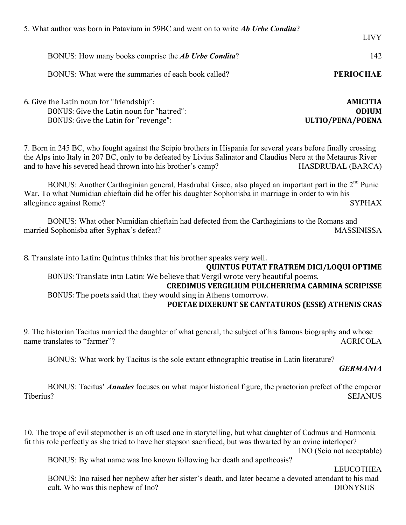| 5. What author was born in Patavium in 59BC and went on to write <i>Ab Urbe Condita</i> ?                                                                                                                                                                                                                              |                                                     |  |
|------------------------------------------------------------------------------------------------------------------------------------------------------------------------------------------------------------------------------------------------------------------------------------------------------------------------|-----------------------------------------------------|--|
|                                                                                                                                                                                                                                                                                                                        | <b>LIVY</b>                                         |  |
| BONUS: How many books comprise the Ab Urbe Condita?                                                                                                                                                                                                                                                                    | 142                                                 |  |
| BONUS: What were the summaries of each book called?                                                                                                                                                                                                                                                                    | <b>PERIOCHAE</b>                                    |  |
| 6. Give the Latin noun for "friendship":<br>BONUS: Give the Latin noun for "hatred":<br>BONUS: Give the Latin for "revenge":                                                                                                                                                                                           | <b>AMICITIA</b><br><b>ODIUM</b><br>ULTIO/PENA/POENA |  |
| 7. Born in 245 BC, who fought against the Scipio brothers in Hispania for several years before finally crossing<br>the Alps into Italy in 207 BC, only to be defeated by Livius Salinator and Claudius Nero at the Metaurus River<br>and to have his severed head thrown into his brother's camp?<br>HASDRUBAL (BARCA) |                                                     |  |
| BONUS: Another Carthaginian general, Hasdrubal Gisco, also played an important part in the 2 <sup>nd</sup> Punic<br>War. To what Numidian chieftain did he offer his daughter Sophonisba in marriage in order to win his<br>allegiance against Rome?                                                                   | <b>SYPHAX</b>                                       |  |
| BONUS: What other Numidian chieftain had defected from the Carthaginians to the Romans and<br>married Sophonisba after Syphax's defeat?                                                                                                                                                                                | <b>MASSINISSA</b>                                   |  |
| 8. Translate into Latin: Quintus thinks that his brother speaks very well.<br><b>QUINTUS PUTAT FRATREM DICI/LOQUI OPTIME</b>                                                                                                                                                                                           |                                                     |  |
| BONUS: Translate into Latin: We believe that Vergil wrote very beautiful poems.<br><b>CREDIMUS VERGILIUM PULCHERRIMA CARMINA SCRIPISSE</b>                                                                                                                                                                             |                                                     |  |
| BONUS: The poets said that they would sing in Athens tomorrow.<br>POETAE DIXERUNT SE CANTATUROS (ESSE) ATHENIS CRAS                                                                                                                                                                                                    |                                                     |  |
|                                                                                                                                                                                                                                                                                                                        |                                                     |  |

9. The historian Tacitus married the daughter of what general, the subject of his famous biography and whose name translates to "farmer"? AGRICOLA

BONUS: What work by Tacitus is the sole extant ethnographic treatise in Latin literature?

#### *GERMANIA*

BONUS: Tacitus' *Annales* focuses on what major historical figure, the praetorian prefect of the emperor Tiberius? SEJANUS

10. The trope of evil stepmother is an oft used one in storytelling, but what daughter of Cadmus and Harmonia fit this role perfectly as she tried to have her stepson sacrificed, but was thwarted by an ovine interloper?

INO (Scio not acceptable)

BONUS: By what name was Ino known following her death and apotheosis?

LEUCOTHEA

BONUS: Ino raised her nephew after her sister's death, and later became a devoted attendant to his mad cult. Who was this nephew of Ino? DIONYSUS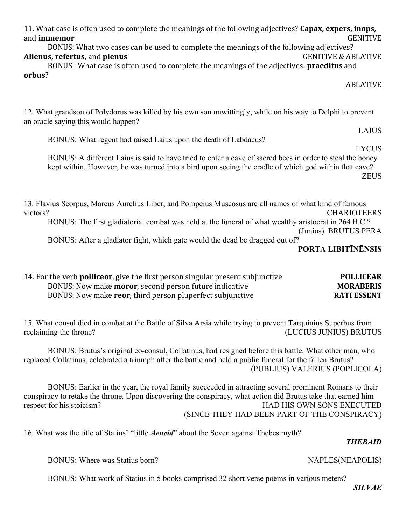| <b>VAPLES(NEAPOLIS)</b> |               |
|-------------------------|---------------|
| bus meters?             | <b>SILVAE</b> |

*THEBAID*

#### BONUS: Where was Statius born? NAPLES(NEAPOLIS)

BONUS: What work of Statius in 5 books comprised 32 short verse poems in various

(SINCE THEY HAD BEEN PART OF THE CONSPIRACY) 16. What was the title of Statius' "little *Aeneid*" about the Seven against Thebes myth?

BONUS: Brutus's original co-consul, Collatinus, had resigned before this battle. What other man, who replaced Collatinus, celebrated a triumph after the battle and held a public funeral for the fallen Brutus? (PUBLIUS) VALERIUS (POPLICOLA)

conspiracy to retake the throne. Upon discovering the conspiracy, what action did Brutus take that earned him respect for his stoicism? HAD HIS OWN SONS EXECUTED

BONUS: Earlier in the year, the royal family succeeded in attracting several prominent Romans to their

15. What consul died in combat at the Battle of Silva Arsia while trying to prevent Tarquinius Superbus from reclaiming the throne? (LUCIUS JUNIUS) BRUTUS

 BONUS: After a gladiator fight, which gate would the dead be dragged out of? **PORTA LIBITĪNĒNSIS** 14. For the verb **polliceor**, give the first person singular present subjunctive **POLLICEAR** 

BONUS: Now make **moror**, second person future indicative **MORABERIS** BONUS: Now make **reor**, third person pluperfect subjunctive **RATI ESSENT** 

13. Flavius Scorpus, Marcus Aurelius Liber, and Pompeius Muscosus are all names of what kind of famous victors? CHARIOTEERS BONUS: The first gladiatorial combat was held at the funeral of what wealthy aristocrat in 264 B.C.? (Junius) BRUTUS PERA

BONUS: A different Laius is said to have tried to enter a cave of sacred bees in order to steal the honey

# ABLATIVE

12. What grandson of Polydorus was killed by his own son unwittingly, while on his way to Delphi to prevent an oracle saying this would happen?

BONUS: What regent had raised Laius upon the death of Labdacus?

11. What case is often used to complete the meanings of the following adjectives? **Capax, expers, inops,** and **immemor** GENITIVE

BONUS: What two cases can be used to complete the meanings of the following adjectives? **Alienus, refertus, and plenus** GENITIVE & ABLATIVE

BONUS: What case is often used to complete the meanings of the adjectives: **praeditus** and **orbus**?

LAIUS

#### LYCUS

kept within. However, he was turned into a bird upon seeing the cradle of which god within that cave? ZEUS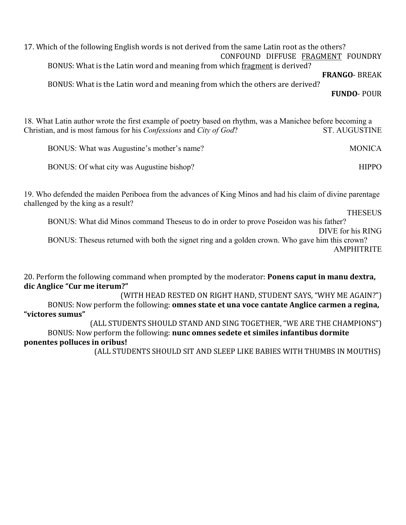17. Which of the following English words is not derived from the same Latin root as the others? CONFOUND DIFFUSE FRAGMENT FOUNDRY

BONUS: What is the Latin word and meaning from which fragment is derived?

**FRANGO**- BREAK

BONUS: What is the Latin word and meaning from which the others are derived?

**FUNDO**- POUR

18. What Latin author wrote the first example of poetry based on rhythm, was a Manichee before becoming a Christian, and is most famous for his *Confessions* and *City of God*? ST. AUGUSTINE

| BONUS: What was Augustine's mother's name? | <b>MONICA</b> |
|--------------------------------------------|---------------|
| BONUS: Of what city was Augustine bishop?  | <b>HIPPO</b>  |

19. Who defended the maiden Periboea from the advances of King Minos and had his claim of divine parentage challenged by the king as a result?

**THESEUS** 

BONUS: What did Minos command Theseus to do in order to prove Poseidon was his father?

DIVE for his RING

BONUS: Theseus returned with both the signet ring and a golden crown. Who gave him this crown? **AMPHITRITE** 

20. Perform the following command when prompted by the moderator: **Ponens caput in manu dextra, dic Anglice "Cur me iterum?"**

(WITH HEAD RESTED ON RIGHT HAND, STUDENT SAYS, "WHY ME AGAIN?") BONUS: Now perform the following: **omnes state et una voce cantate Anglice carmen a regina, "victores sumus"**

(ALL STUDENTS SHOULD STAND AND SING TOGETHER, "WE ARE THE CHAMPIONS") BONUS: Now perform the following: **nunc omnes sedete et similes infantibus dormite ponentes polluces in oribus!** 

(ALL STUDENTS SHOULD SIT AND SLEEP LIKE BABIES WITH THUMBS IN MOUTHS)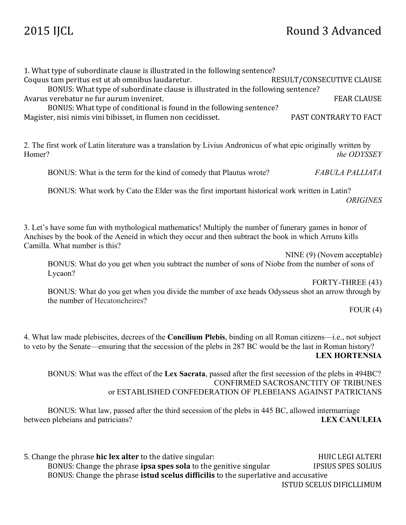## 2015 IJCL Round 3 Advanced

|        | 1. What type of subordinate clause is illustrated in the following sentence?<br>Coquus tam peritus est ut ab omnibus laudaretur.<br>BONUS: What type of subordinate clause is illustrated in the following sentence?<br>Avarus verebatur ne fur aurum inveniret.<br>BONUS: What type of conditional is found in the following sentence?<br>Magister, nisi nimis vini bibisset, in flumen non cecidisset. | RESULT/CONSECUTIVE CLAUSE<br><b>FEAR CLAUSE</b><br>PAST CONTRARY TO FACT |
|--------|----------------------------------------------------------------------------------------------------------------------------------------------------------------------------------------------------------------------------------------------------------------------------------------------------------------------------------------------------------------------------------------------------------|--------------------------------------------------------------------------|
| Homer? | 2. The first work of Latin literature was a translation by Livius Andronicus of what epic originally written by                                                                                                                                                                                                                                                                                          | the ODYSSEY                                                              |
|        | BONUS: What is the term for the kind of comedy that Plautus wrote?                                                                                                                                                                                                                                                                                                                                       | FABULA PALLIATA                                                          |
|        | BONUS: What work by Cato the Elder was the first important historical work written in Latin?                                                                                                                                                                                                                                                                                                             | <b>ORIGINES</b>                                                          |
|        | 3. Let's have some fun with mythological mathematics! Multiply the number of funerary games in honor of<br>Anchises by the book of the Aeneid in which they occur and then subtract the book in which Arruns kills<br>Camilla. What number is this?                                                                                                                                                      |                                                                          |
|        | BONUS: What do you get when you subtract the number of sons of Niobe from the number of sons of<br>Lycaon?                                                                                                                                                                                                                                                                                               | NINE (9) (Novem acceptable)                                              |
|        | BONUS: What do you get when you divide the number of axe heads Odysseus shot an arrow through by<br>the number of Hecatoncheires?                                                                                                                                                                                                                                                                        | FORTY-THREE (43)                                                         |
|        |                                                                                                                                                                                                                                                                                                                                                                                                          | FOUR(4)                                                                  |
|        | 4. What law made plebiscites, decrees of the Concilium Plebis, binding on all Roman citizens-i.e., not subject<br>to veto by the Senate—ensuring that the secession of the plebs in 287 BC would be the last in Roman history?                                                                                                                                                                           | <b>LEX HORTENSIA</b>                                                     |
|        | BONUS: What was the effect of the Lex Sacrata, passed after the first secession of the plebs in 494BC?<br>or ESTABLISHED CONFEDERATION OF PLEBEIANS AGAINST PATRICIANS                                                                                                                                                                                                                                   | CONFIRMED SACROSANCTITY OF TRIBUNES                                      |
|        | BONUS: What law, passed after the third secession of the plebs in 445 BC, allowed intermarriage<br>between plebeians and patricians?                                                                                                                                                                                                                                                                     | <b>LEX CANULEIA</b>                                                      |
|        | 5. Change the phrase hic lex alter to the dative singular:                                                                                                                                                                                                                                                                                                                                               | <b>HUIC LEGI ALTERI</b>                                                  |

BONUS: Change the phrase **ipsa spes sola** to the genitive singular **IPSIUS SPES SOLIUS** BONUS: Change the phrase **istud scelus difficilis** to the superlative and accusative ISTUD SCELUS DIFICLLIMUM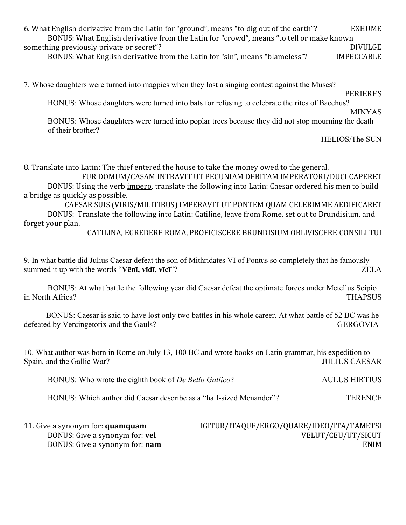| 6. What English derivative from the Latin for "ground", means "to dig out of the earth"? | <b>EXHUME</b>     |
|------------------------------------------------------------------------------------------|-------------------|
| BONUS: What English derivative from the Latin for "crowd", means "to tell or make known  |                   |
| something previously private or secret"?                                                 | <b>DIVULGE</b>    |
| BONUS: What English derivative from the Latin for "sin", means "blameless"?              | <b>IMPECCABLE</b> |

7. Whose daughters were turned into magpies when they lost a singing contest against the Muses?

PERIERES

BONUS: Whose daughters were turned into bats for refusing to celebrate the rites of Bacchus?

MINYAS

BONUS: Whose daughters were turned into poplar trees because they did not stop mourning the death of their brother?

HELIOS/The SUN

8. Translate into Latin: The thief entered the house to take the money owed to the general.

FUR DOMUM/CASAM INTRAVIT UT PECUNIAM DEBITAM IMPERATORI/DUCI CAPERET BONUS: Using the verb impero, translate the following into Latin: Caesar ordered his men to build a bridge as quickly as possible.

CAESAR SUIS (VIRIS/MILITIBUS) IMPERAVIT UT PONTEM QUAM CELERIMME AEDIFICARET BONUS: Translate the following into Latin: Catiline, leave from Rome, set out to Brundisium, and forget your plan.

CATILINA, EGREDERE ROMA, PROFICISCERE BRUNDISIUM OBLIVISCERE CONSILI TUI

9. In what battle did Julius Caesar defeat the son of Mithridates VI of Pontus so completely that he famously summed it up with the words "**Vēnī, vīdī, vīcī**"? ZELA

BONUS: At what battle the following year did Caesar defeat the optimate forces under Metellus Scipio in North Africa? THAPSUS

BONUS: Caesar is said to have lost only two battles in his whole career. At what battle of 52 BC was he defeated by Vercingetorix and the Gauls? GERGOVIA

10. What author was born in Rome on July 13, 100 BC and wrote books on Latin grammar, his expedition to Spain, and the Gallic War? JULIUS CAESAR

BONUS: Who wrote the eighth book of *De Bello Gallico*? AULUS HIRTIUS

BONUS: Which author did Caesar describe as a "half-sized Menander"? TERENCE

| 11. Give a synonym for: <b>quamquam</b> | IGITUR/ITAQUE/ERGO/QUARE/IDEO/ITA/TAMETSI |
|-----------------------------------------|-------------------------------------------|
| BONUS: Give a synonym for: <b>vel</b>   | VELUT/CEU/UT/SICUT                        |
| BONUS: Give a synonym for: <b>nam</b>   | ENIM                                      |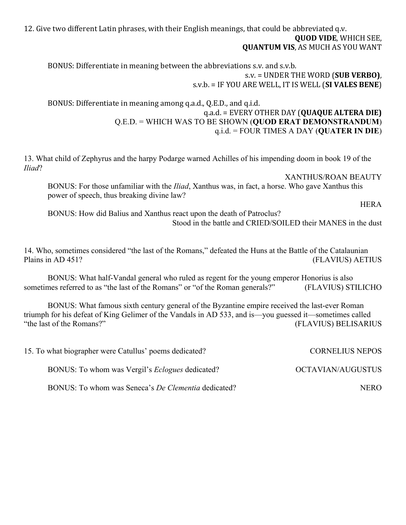12. Give two different Latin phrases, with their English meanings, that could be abbreviated q.v. **QUOD VIDE, WHICH SEE, QUANTUM VIS, AS MUCH AS YOU WANT** 

BONUS: Differentiate in meaning between the abbreviations s.v. and s.v.b. s.v. = UNDER THE WORD (**SUB VERBO**), s.v.b. = IF YOU ARE WELL, IT IS WELL (SI VALES BENE)

BONUS: Differentiate in meaning among q.a.d., Q.E.D., and q.i.d. q.a.d. = EVERY OTHER DAY (**QUAQUE ALTERA DIE)** Q.E.D. = WHICH WAS TO BE SHOWN (**QUOD ERAT DEMONSTRANDUM**) q.i.d. = FOUR TIMES A DAY (**QUATER IN DIE**)

13. What child of Zephyrus and the harpy Podarge warned Achilles of his impending doom in book 19 of the *Iliad*?

XANTHUS/ROAN BEAUTY

BONUS: For those unfamiliar with the *Iliad*, Xanthus was, in fact, a horse. Who gave Xanthus this power of speech, thus breaking divine law?

**HERA** 

BONUS: How did Balius and Xanthus react upon the death of Patroclus? Stood in the battle and CRIED/SOILED their MANES in the dust

14. Who, sometimes considered "the last of the Romans," defeated the Huns at the Battle of the Catalaunian Plains in AD 451? (FLAVIUS) AETIUS

BONUS: What half-Vandal general who ruled as regent for the young emperor Honorius is also sometimes referred to as "the last of the Romans" or "of the Roman generals?" (FLAVIUS) STILICHO

BONUS: What famous sixth century general of the Byzantine empire received the last-ever Roman triumph for his defeat of King Gelimer of the Vandals in AD 533, and is—you guessed it—sometimes called "the last of the Romans?" (FLAVIUS) BELISARIUS

| 15. To what biographer were Catullus' poems dedicated?     | <b>CORNELIUS NEPOS</b>   |
|------------------------------------------------------------|--------------------------|
| BONUS: To whom was Vergil's <i>Eclogues</i> dedicated?     | <b>OCTAVIAN/AUGUSTUS</b> |
| BONUS: To whom was Seneca's <i>De Clementia</i> dedicated? | NERO.                    |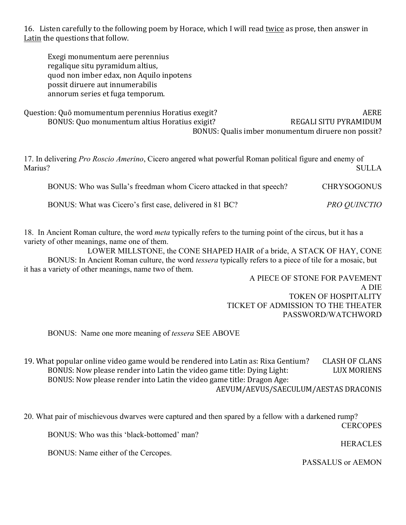16. Listen carefully to the following poem by Horace, which I will read twice as prose, then answer in Latin the questions that follow.

Exegi monumentum aere perennius regalique situ pyramidum altius, quod non imber edax, non Aquilo inpotens possit diruere aut innumerabilis annorum series et fuga temporum.

Question: Quō momumentum perennius Horatius exegit? The contraction of the AERE BONUS: Quo monumentum altius Horatius exigit? The REGALI SITU PYRAMIDUM BONUS: Qualis imber monumentum diruere non possit?

17. In delivering *Pro Roscio Amerino*, Cicero angered what powerful Roman political figure and enemy of Marius? SULLA

BONUS: Who was Sulla's freedman whom Cicero attacked in that speech? CHRYSOGONUS

BONUS: What was Cicero's first case, delivered in 81 BC? *PRO QUINCTIO*

18. In Ancient Roman culture, the word *meta* typically refers to the turning point of the circus, but it has a variety of other meanings, name one of them.

LOWER MILLSTONE, the CONE SHAPED HAIR of a bride, A STACK OF HAY, CONE BONUS: In Ancient Roman culture, the word *tessera* typically refers to a piece of tile for a mosaic, but it has a variety of other meanings, name two of them.

> A PIECE OF STONE FOR PAVEMENT A DIE TOKEN OF HOSPITALITY TICKET OF ADMISSION TO THE THEATER PASSWORD/WATCHWORD

BONUS: Name one more meaning of *tessera* SEE ABOVE

19. What popular online video game would be rendered into Latin as: Rixa Gentium? CLASH OF CLANS BONUS: Now please render into Latin the video game title: Dying Light: LUX MORIENS BONUS: Now please render into Latin the video game title: Dragon Age: AEVUM/AEVUS/SAECULUM/AESTAS DRACONIS

20. What pair of mischievous dwarves were captured and then spared by a fellow with a darkened rump?

**CERCOPES** 

BONUS: Who was this 'black-bottomed' man?

**HERACLES** 

BONUS: Name either of the Cercopes.

PASSALUS or AEMON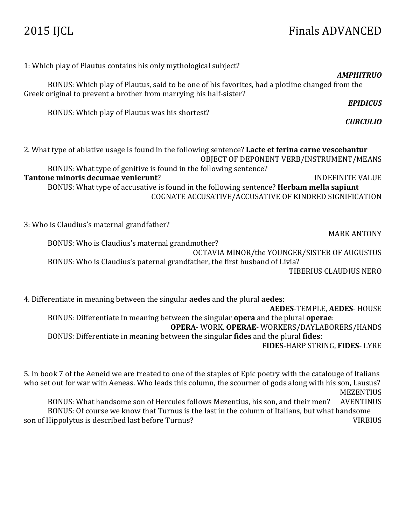## 2015 IJCL Finals ADVANCED

1: Which play of Plautus contains his only mythological subject? *AMPHITRUO* BONUS: Which play of Plautus, said to be one of his favorites, had a plotline changed from the Greek original to prevent a brother from marrying his half-sister? *EPIDICUS* BONUS: Which play of Plautus was his shortest? *CURCULIO* 2. What type of ablative usage is found in the following sentence? **Lacte et ferina carne vescebantur** OBJECT OF DEPONENT VERB/INSTRUMENT/MEANS BONUS: What type of genitive is found in the following sentence? **Tantone minoris decumae venierunt?** INDEFINITE VALUE BONUS: What type of accusative is found in the following sentence? **Herbam mella sapiunt** COGNATE ACCUSATIVE/ACCUSATIVE OF KINDRED SIGNIFICATION 3: Who is Claudius's maternal grandfather? **MARK ANTONY** BONUS: Who is Claudius's maternal grandmother? OCTAVIA MINOR/the YOUNGER/SISTER OF AUGUSTUS BONUS: Who is Claudius's paternal grandfather, the first husband of Livia? TIBERIUS CLAUDIUS NERO

4. Differentiate in meaning between the singular **aedes** and the plural **aedes**:

**AEDES**-TEMPLE, **AEDES**- HOUSE BONUS: Differentiate in meaning between the singular **opera** and the plural **operae**: **OPERA**- WORK, **OPERAE**- WORKERS/DAYLABORERS/HANDS BONUS: Differentiate in meaning between the singular **fides** and the plural **fides**:

**FIDES**-HARP STRING, **FIDES**- LYRE

5. In book 7 of the Aeneid we are treated to one of the staples of Epic poetry with the catalouge of Italians who set out for war with Aeneas. Who leads this column, the scourner of gods along with his son, Lausus? MEZENTIUS

BONUS: What handsome son of Hercules follows Mezentius, his son, and their men? AVENTINUS BONUS: Of course we know that Turnus is the last in the column of Italians, but what handsome son of Hippolytus is described last before Turnus? VIRBIUS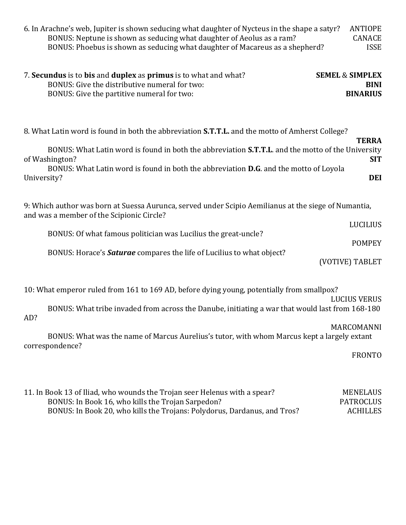| 6. In Arachne's web, Jupiter is shown seducing what daughter of Nycteus in the shape a satyr?<br><b>ANTIOPE</b><br>BONUS: Neptune is shown as seducing what daughter of Aeolus as a ram?<br><b>CANACE</b><br>BONUS: Phoebus is shown as seducing what daughter of Macareus as a shepherd?<br><b>ISSE</b>                                                                    |  |  |
|-----------------------------------------------------------------------------------------------------------------------------------------------------------------------------------------------------------------------------------------------------------------------------------------------------------------------------------------------------------------------------|--|--|
| 7. Secundus is to bis and duplex as primus is to what and what?<br><b>SEMEL &amp; SIMPLEX</b><br>BONUS: Give the distributive numeral for two:<br><b>BINI</b><br>BONUS: Give the partitive numeral for two:<br><b>BINARIUS</b>                                                                                                                                              |  |  |
| 8. What Latin word is found in both the abbreviation S.T.T.L. and the motto of Amherst College?<br><b>TERRA</b><br>BONUS: What Latin word is found in both the abbreviation S.T.T.L. and the motto of the University<br>of Washington?<br><b>SIT</b><br>BONUS: What Latin word is found in both the abbreviation D.G. and the motto of Loyola<br><b>DEI</b><br>University?  |  |  |
| 9: Which author was born at Suessa Aurunca, served under Scipio Aemilianus at the siege of Numantia,<br>and was a member of the Scipionic Circle?<br><b>LUCILIUS</b><br>BONUS: Of what famous politician was Lucilius the great-uncle?<br><b>POMPEY</b><br>BONUS: Horace's <b>Saturae</b> compares the life of Lucilius to what object?<br>(VOTIVE) TABLET                  |  |  |
| 10: What emperor ruled from 161 to 169 AD, before dying young, potentially from smallpox?<br><b>LUCIUS VERUS</b><br>BONUS: What tribe invaded from across the Danube, initiating a war that would last from 168-180<br>AD?<br>MARCOMANNI<br>BONUS: What was the name of Marcus Aurelius's tutor, with whom Marcus kept a largely extant<br>correspondence?<br><b>FRONTO</b> |  |  |

| 11. In Book 13 of Iliad, who wounds the Trojan seer Helenus with a spear? | <b>MENELAUS</b> |
|---------------------------------------------------------------------------|-----------------|
| BONUS: In Book 16, who kills the Trojan Sarpedon?                         | PATROCLUS       |
| BONUS: In Book 20, who kills the Trojans: Polydorus, Dardanus, and Tros?  | <b>ACHILLES</b> |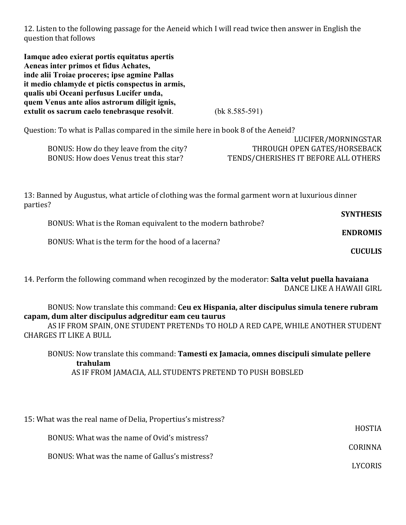12. Listen to the following passage for the Aeneid which I will read twice then answer in English the question that follows

**Iamque adeo exierat portis equitatus apertis Aeneas inter primos et fidus Achates, inde alii Troiae proceres; ipse agmine Pallas it medio chlamyde et pictis conspectus in armis, qualis ubi Oceani perfusus Lucifer unda, quem Venus ante alios astrorum diligit ignis, extulit os sacrum caelo tenebrasque resolvit**. (bk 8.585-591)

Question: To what is Pallas compared in the simile here in book 8 of the Aeneid?

|                                         | LUCIFER/MORNINGSIAR                  |
|-----------------------------------------|--------------------------------------|
| BONUS: How do they leave from the city? | THROUGH OPEN GATES/HORSEBACK         |
| BONUS: How does Venus treat this star?  | TENDS/CHERISHES IT BEFORE ALL OTHERS |

LUCIFER/MORNINGSTAR

13: Banned by Augustus, what article of clothing was the formal garment worn at luxurious dinner parties?

| <b>SYNTHESIS</b> | BONUS: What is the Roman equivalent to the modern bathrobe? |  |
|------------------|-------------------------------------------------------------|--|
| <b>ENDROMIS</b>  |                                                             |  |
| <b>CUCULIS</b>   | BONUS: What is the term for the hood of a lacerna?          |  |

14. Perform the following command when recoginzed by the moderator: **Salta velut puella havaiana** DANCE LIKE A HAWAII GIRL

BONUS: Now translate this command: **Ceu ex Hispania, alter discipulus simula tenere rubram capam, dum alter discipulus adgreditur eam ceu taurus**

AS IF FROM SPAIN, ONE STUDENT PRETENDs TO HOLD A RED CAPE, WHILE ANOTHER STUDENT CHARGES IT LIKE A BULL

BONUS: Now translate this command: **Tamesti ex Jamacia, omnes discipuli simulate pellere trahulam** AS IF FROM JAMACIA, ALL STUDENTS PRETEND TO PUSH BOBSLED

| 15: What was the real name of Delia, Propertius's mistress? |               |
|-------------------------------------------------------------|---------------|
|                                                             | <b>HOSTIA</b> |
| BONUS: What was the name of Ovid's mistress?                | CORINNA       |
| BONUS: What was the name of Gallus's mistress?              |               |
|                                                             | LYCORIS       |